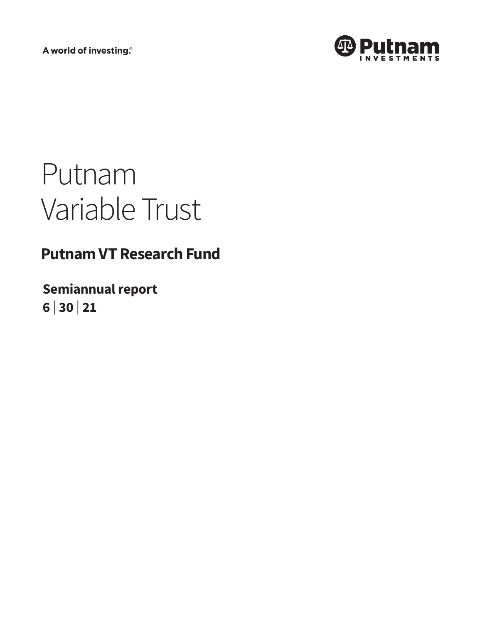A world of investing®



# Putnam Variable Trust

# **Putnam VT Research Fund**

**Semiannual report 6 <sup>|</sup> 30 <sup>|</sup> 21**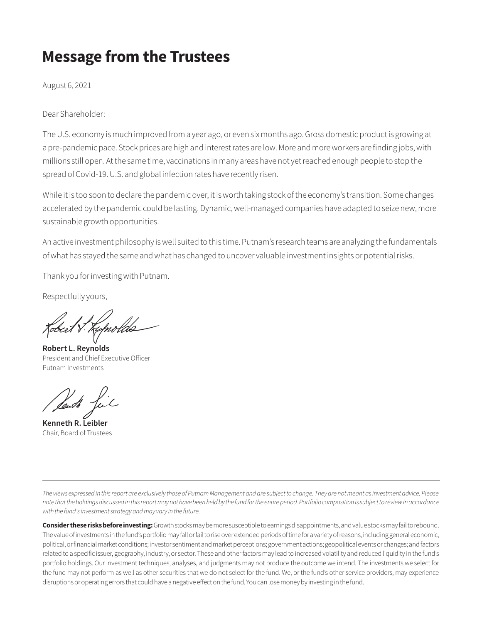# **Message from the Trustees**

August 6, 2021

Dear Shareholder:

The U.S. economy is much improved from a year ago, or even six months ago. Gross domestic product is growing at a pre-pandemic pace. Stock prices are high and interest rates are low. More and more workers are finding jobs, with millions still open. At the same time, vaccinations in many areas have not yet reached enough people to stop the spread of Covid-19. U.S. and global infection rates have recently risen.

While it is too soon to declare the pandemic over, it is worth taking stock of the economy's transition. Some changes accelerated by the pandemic could be lasting. Dynamic, well-managed companies have adapted to seize new, more sustainable growth opportunities.

An active investment philosophy is well suited to this time. Putnam's research teams are analyzing the fundamentals of what has stayed the same and what has changed to uncover valuable investment insights or potential risks.

Thank you for investing with Putnam.

Respectfully yours,

**Robert L. Reynolds** President and Chief Executive Officer Putnam Investments

**Kenneth R. Leibler** Chair, Board of Trustees

*The views expressed in this report are exclusively those of Putnam Management and are subject to change. They are not meant as investment advice. Please note that the holdings discussed in this report may not have been held by the fund for the entire period. Portfolio composition is subject to review in accordance with the fund's investment strategy and may vary in the future.*

**Consider these risks before investing:** Growth stocks may be more susceptible to earnings disappointments, and value stocks may fail to rebound. The value of investments in the fund's portfolio may fall or fail to rise over extended periods of time for a variety of reasons, including general economic, political, or financial market conditions; investor sentiment and market perceptions; government actions; geopolitical events or changes; and factors related to a specific issuer, geography, industry, or sector. These and other factors may lead to increased volatility and reduced liquidity in the fund's portfolio holdings. Our investment techniques, analyses, and judgments may not produce the outcome we intend. The investments we select for the fund may not perform as well as other securities that we do not select for the fund. We, or the fund's other service providers, may experience disruptions or operating errors that could have a negative effect on the fund. You can lose money by investing in the fund.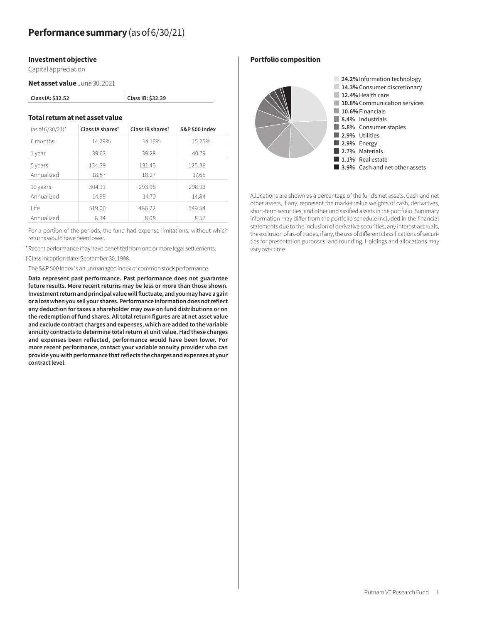#### **Investment objective**

Capital appreciation

**Net asset value** June 30, 2021

| Class IA: \$32.52 |  |
|-------------------|--|
|-------------------|--|

#### **Total return at net asset value**

| (as of 6/30/21)* | Class IA shares <sup>t</sup> | Class IB shares <sup>t</sup> | <b>S&amp;P 500 Index</b> |
|------------------|------------------------------|------------------------------|--------------------------|
| 6 months         | 14.29%                       | 14.16%                       | 15.25%                   |
| 1 year           | 39.63                        | 39.28                        | 40.79                    |
| 5 years          | 134.39                       | 131.45                       | 125.36                   |
| Annualized       | 18.57                        | 18.27                        | 17.65                    |
| 10 years         | 304.11                       | 293.98                       | 298.93                   |
| Annualized       | 14.99                        | 14.70                        | 14.84                    |
| l ife            | 519.00                       | 486.22                       | 549.54                   |
| Annualized       | 8.34                         | 8.08                         | 8.57                     |

**Class IA: \$32.52 Class IB: \$32.39**

For a portion of the periods, the fund had expense limitations, without which returns would have been lower.

\*Recent performance may have benefited from one or more legal settlements.

†Class inception date: September 30, 1998.

The S&P 500 Index is an unmanaged index of common stock performance.

**Data represent past performance. Past performance does not guarantee future results. More recent returns may be less or more than those shown. Investment return and principal value will fluctuate, and you may have a gain or a loss when you sell your shares. Performance information does not reflect any deduction for taxes a shareholder may owe on fund distributions or on the redemption of fund shares. All total return figures are at net asset value and exclude contract charges and expenses, which are added to the variable annuity contracts to determine total return at unit value. Had these charges and expenses been reflected, performance would have been lower. For more recent performance, contact your variable annuity provider who can provide you with performance that reflects the charges and expenses at your contract level.**

**Portfolio composition**



Allocations are shown as a percentage of the fund's net assets. Cash and net other assets, if any, represent the market value weights of cash, derivatives, short-term securities, and other unclassified assets in the portfolio. Summary information may differ from the portfolio schedule included in the financial statements due to the inclusion of derivative securities, any interest accruals, the exclusion of as-of trades, if any, the use of different classifications of securities for presentation purposes, and rounding. Holdings and allocations may vary over time.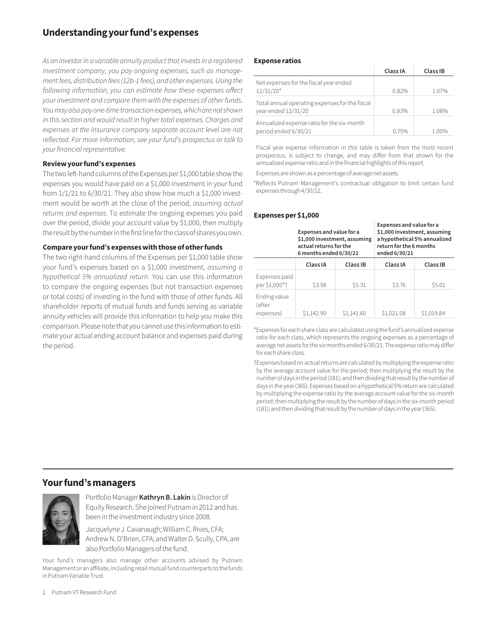# **Understanding your fund's expenses**

*As an investor in a variable annuity product that invests in a registered investment company, you pay ongoing expenses, such as management fees, distribution fees (12b-1 fees), and other expenses. Using the following information, you can estimate how these expenses affect your investment and compare them with the expenses of other funds. You may also pay one-time transaction expenses, which are not shown in this section and would result in higher total expenses. Charges and*  expenses at the insurance company separate account level are not *reflected. For more information, see your fund's prospectus or talk to your financial representative.*

#### **Review your fund's expenses**

The two left-hand columns of the Expenses per \$1,000 table show the expenses you would have paid on a \$1,000 investment in your fund from  $1/1/21$  to  $6/30/21$ . They also show how much a \$1,000 investment would be worth at the close of the period, *assuming actual returns and expenses*. To estimate the ongoing expenses you paid over the period, divide your account value by \$1,000, then multiply the result by the number in the first line for the class of shares you own.

#### **Compare your fund's expenses with those of other funds**

The two right-hand columns of the Expenses per \$1,000 table show your fund's expenses based on a \$1,000 investment, *assuming a hypothetical 5% annualized return*. You can use this information to compare the ongoing expenses (but not transaction expenses or total costs) of investing in the fund with those of other funds. All shareholder reports of mutual funds and funds serving as variable annuity vehicles will provide this information to help you make this comparison. Please note that you cannot use this information to estimate your actual ending account balance and expenses paid during the period.

#### **Expense ratios**

|                                                                       | Class IA | Class IB |
|-----------------------------------------------------------------------|----------|----------|
| Net expenses for the fiscal year ended<br>$12/31/20*$                 | 0.82%    | 1.07%    |
| Total annual operating expenses for the fiscal<br>year ended 12/31/20 | 0.83%    | 1.08%    |
| Annualized expense ratio for the six-month<br>period ended 6/30/21    | 0.75%    | 1.00%    |

Fiscal year expense information in this table is taken from the most recent prospectus, is subject to change, and may differ from that shown for the annualized expense ratio and in the financial highlights of this report.

Expenses are shown as a percentage of average net assets.

 \*Reflects Putnam Management's contractual obligation to limit certain fund expenses through 4/30/22.

#### **Expenses per \$1,000**

|                                     | Expenses and value for a<br>\$1,000 investment, assuming<br>actual returns for the<br>6 months ended 6/30/21 |            | Expenses and value for a<br>\$1,000 investment, assuming<br>a hypothetical 5% annualized<br>return for the 6 months<br>ended 6/30/21 |            |  |
|-------------------------------------|--------------------------------------------------------------------------------------------------------------|------------|--------------------------------------------------------------------------------------------------------------------------------------|------------|--|
|                                     | Class IA                                                                                                     | Class IB   | Class IA                                                                                                                             | Class IB   |  |
| Expenses paid<br>per \$1,000*†      | \$3.98                                                                                                       | \$5.31     | \$3.76                                                                                                                               | \$5.01     |  |
| Ending value<br>(after<br>expenses) | \$1,142.90                                                                                                   | \$1,141.60 | \$1,021.08                                                                                                                           | \$1,019.84 |  |

\*Expenses for each share class are calculated using the fund's annualized expense ratio for each class, which represents the ongoing expenses as a percentage of average net assets for the six months ended 6/30/21. The expense ratio may differ for each share class.

†Expenses based on actual returns are calculated by multiplying the expense ratio by the average account value for the period; then multiplying the result by the number of days in the period (181); and then dividing that result by the number of days in the year (365). Expenses based on a hypothetical 5% return are calculated by multiplying the expense ratio by the average account value for the six-month period; then multiplying the result by the number of days in the six-month period (181); and then dividing that result by the number of days in the year (365).

### **Your fund's managers**



Portfolio Manager **Kathryn B. Lakin** is Director of Equity Research. She joined Putnam in 2012 and has been in the investment industry since 2008.

Jacquelyne J. Cavanaugh; William C. Rives, CFA; Andrew N. O'Brien, CFA; and Walter D. Scully, CPA, are also Portfolio Managers of the fund.

Your fund's managers also manage other accounts advised by Putnam Management or an affiliate, including retail mutual fund counterparts to the funds in Putnam Variable Trust.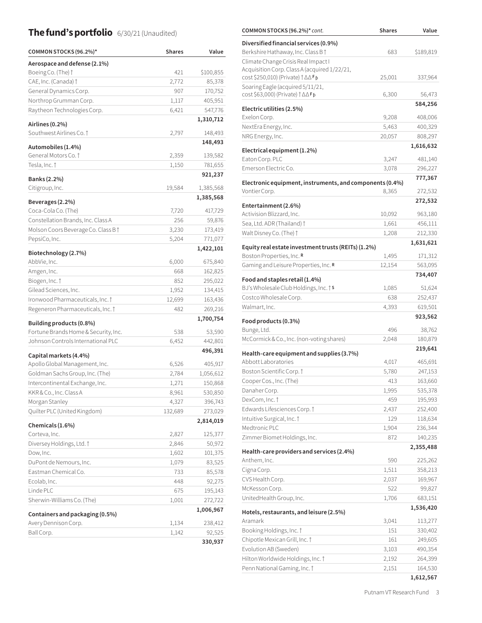# **COMMON STOCKS (96.2%)\*** *common stocks (96.2%)\* cont.* Shares Value **Shares** Value

| COMMON STOCKS (96.2%)*                     | <b>Shares</b> | Value              |
|--------------------------------------------|---------------|--------------------|
| Aerospace and defense (2.1%)               |               |                    |
| Boeing Co. (The) †                         | 421           | \$100,855          |
| CAE, Inc. (Canada) †                       | 2,772         | 85,378             |
| General Dynamics Corp.                     | 907           | 170,752            |
| Northrop Grumman Corp.                     | 1,117         | 405,951            |
| Raytheon Technologies Corp.                | 6,421         | 547,776            |
| Airlines (0.2%)                            |               | 1,310,712          |
| Southwest Airlines Co. 1                   | 2,797         | 148,493            |
|                                            |               | 148,493            |
| Automobiles (1.4%)<br>General Motors Co. † |               |                    |
|                                            | 2,359         | 139,582            |
| Tesla, Inc. †                              | 1,150         | 781,655<br>921,237 |
| Banks (2.2%)                               |               |                    |
| Citigroup, Inc.                            | 19,584        | 1,385,568          |
| Beverages (2.2%)                           |               | 1,385,568          |
| Coca-Cola Co. (The)                        | 7,720         | 417,729            |
| Constellation Brands, Inc. Class A         | 256           | 59,876             |
| Molson Coors Beverage Co. Class B +        | 3,230         | 173,419            |
| PepsiCo, Inc.                              | 5,204         | 771,077            |
| Biotechnology (2.7%)                       |               | 1,422,101          |
| AbbVie, Inc.                               | 6,000         | 675,840            |
| Amgen, Inc.                                | 668           | 162,825            |
| Biogen, Inc. †                             | 852           | 295,022            |
| Gilead Sciences, Inc.                      | 1,952         | 134,415            |
| Ironwood Pharmaceuticals, Inc. †           | 12,699        | 163,436            |
| Regeneron Pharmaceuticals, Inc. 1          | 482           | 269,216            |
| Building products (0.8%)                   |               | 1,700,754          |
| Fortune Brands Home & Security, Inc.       | 538           | 53,590             |
| Johnson Controls International PLC         | 6,452         | 442,801            |
|                                            |               | 496,391            |
| Capital markets (4.4%)                     |               |                    |
| Apollo Global Management, Inc.             | 6,526         | 405,917            |
| Goldman Sachs Group, Inc. (The)            | 2,784         | 1,056,612          |
| Intercontinental Exchange, Inc.            | 1,271         | 150,868            |
| KKR & Co., Inc. Class A                    | 8,961         | 530,850            |
| Morgan Stanley                             | 4,327         | 396,743            |
| Quilter PLC (United Kingdom)               | 132,689       | 273,029            |
| Chemicals (1.6%)                           |               | 2,814,019          |
| Corteva, Inc.                              | 2,827         | 125,377            |
| Diversey Holdings, Ltd. †                  | 2,846         | 50,972             |
| Dow, Inc.                                  | 1,602         | 101,375            |
| DuPont de Nemours, Inc.                    | 1,079         | 83,525             |
| Eastman Chemical Co.                       | 733           | 85,578             |
| Ecolab, Inc.                               | 448           | 92,275             |
| Linde PLC                                  | 675           | 195,143            |
| Sherwin-Williams Co. (The)                 | 1,001         | 272,722            |
| Containers and packaging (0.5%)            |               | 1,006,967          |
| Avery Dennison Corp.                       | 1,134         | 238,412            |
| Ball Corp.                                 | 1,142         | 92,525             |
|                                            |               | 330,937            |

| COMMON STOCKS (96.2%) COMC.                                                      | onares       | value              |
|----------------------------------------------------------------------------------|--------------|--------------------|
| Diversified financial services (0.9%)<br>Berkshire Hathaway, Inc. Class B†       | 683          | \$189,819          |
| Climate Change Crisis Real Impact I                                              |              |                    |
| Acquisition Corp. Class A (acquired 1/22/21,<br>cost \$250,010) (Private)†∆∆ F p | 25,001       | 337,964            |
| Soaring Eagle (acquired 5/11/21,<br>cost \$63,000) (Private)†∆∆Fp                | 6,300        | 56,473             |
| Electric utilities (2.5%)                                                        |              | 584,256            |
| Exelon Corp.                                                                     | 9,208        | 408,006            |
| NextEra Energy, Inc.                                                             | 5,463        | 400,329            |
| NRG Energy, Inc.                                                                 | 20,057       | 808,297            |
| Electrical equipment (1.2%)                                                      |              | 1,616,632          |
| Eaton Corp. PLC                                                                  | 3,247        | 481,140            |
| Emerson Electric Co.                                                             | 3,078        | 296,227            |
| Electronic equipment, instruments, and components (0.4%)                         |              | 777,367            |
| Vontier Corp.                                                                    | 8,365        | 272,532            |
| Entertainment (2.6%)                                                             |              | 272,532            |
| Activision Blizzard, Inc.                                                        | 10,092       | 963,180            |
| Sea, Ltd. ADR (Thailand) †                                                       | 1,661        | 456,111            |
| Walt Disney Co. (The) †                                                          | 1,208        | 212,330            |
| Equity real estate investment trusts (REITs) (1.2%)                              |              | 1,631,621          |
| Boston Properties, Inc. R                                                        | 1,495        | 171,312            |
| Gaming and Leisure Properties, Inc. R                                            | 12,154       | 563,095            |
| Food and staples retail (1.4%)                                                   |              | 734,407            |
| BJ's Wholesale Club Holdings, Inc. † S                                           | 1,085        | 51,624             |
| Costco Wholesale Corp.                                                           | 638          | 252,437            |
| Walmart, Inc.                                                                    | 4,393        | 619,501            |
| Food products (0.3%)                                                             |              | 923,562            |
| Bunge, Ltd.                                                                      | 496          | 38,762             |
| McCormick & Co., Inc. (non-voting shares)                                        | 2,048        | 180,879            |
| Health-care equipment and supplies (3.7%)                                        |              | 219,641            |
| Abbott Laboratories                                                              | 4,017        | 465,691            |
| Boston Scientific Corp. †                                                        | 5,780        | 247,153            |
| Cooper Cos., Inc. (The)                                                          | 413          | 163,660            |
| Danaher Corp.                                                                    | 1,995        | 535,378            |
| DexCom, Inc. †                                                                   | 459          | 195,993            |
| Edwards Lifesciences Corp. †                                                     | 2,437        | 252,400            |
| Intuitive Surgical, Inc. †                                                       | 129          | 118,634            |
| Medtronic PLC                                                                    | 1,904        | 236,344            |
| Zimmer Biomet Holdings, Inc.                                                     | 872          | 140,235            |
| Health-care providers and services (2.4%)                                        |              | 2,355,488          |
| Anthem, Inc.                                                                     | 590          | 225,262            |
| Cigna Corp.                                                                      | 1,511        | 358,213            |
| CVS Health Corp.                                                                 | 2,037        | 169,967            |
| McKesson Corp.                                                                   | 522          | 99,827             |
| UnitedHealth Group, Inc.                                                         | 1,706        | 683,151            |
| Hotels, restaurants, and leisure (2.5%)                                          |              | 1,536,420          |
| Aramark                                                                          | 3,041        | 113,277            |
| Booking Holdings, Inc. †                                                         | 151          | 330,402            |
| Chipotle Mexican Grill, Inc. †<br>Evolution AB (Sweden)                          | 161<br>3,103 | 249,605<br>490,354 |
| Hilton Worldwide Holdings, Inc. †                                                | 2,192        | 264,399            |
| Penn National Gaming, Inc. 1                                                     | 2,151        | 164,530            |
|                                                                                  |              | 1,612,567          |
|                                                                                  |              |                    |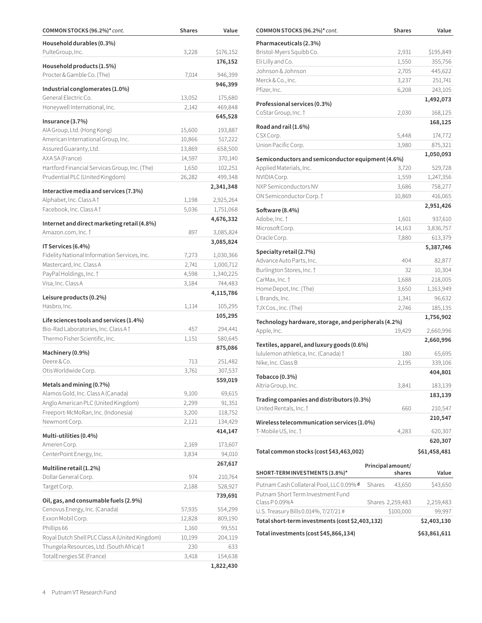| COMMON STOCKS (96.2%)* cont.                   | <b>Shares</b> | Value     | COMMON STOCKS (96.2%)* cont.                         | <b>Shares</b>     | Value               |
|------------------------------------------------|---------------|-----------|------------------------------------------------------|-------------------|---------------------|
| Household durables (0.3%)                      |               |           | Pharmaceuticals (2.3%)                               |                   |                     |
| PulteGroup, Inc.                               | 3,228         | \$176,152 | Bristol-Myers Squibb Co.                             | 2,931             | \$195,849           |
| Household products (1.5%)                      |               | 176,152   | Eli Lilly and Co.                                    | 1,550             | 355,756             |
| Procter & Gamble Co. (The)                     | 7,014         | 946,399   | Johnson & Johnson                                    | 2,705             | 445,622             |
|                                                |               | 946,399   | Merck & Co., Inc.                                    | 3,237             | 251,741             |
| Industrial conglomerates (1.0%)                |               |           | Pfizer, Inc.                                         | 6,208             | 243,105             |
| General Electric Co.                           | 13,052        | 175,680   |                                                      |                   | 1,492,073           |
| Honeywell International, Inc.                  | 2,142         | 469,848   | Professional services (0.3%)<br>CoStar Group, Inc. † | 2,030             | 168,125             |
| Insurance (3.7%)                               |               | 645,528   |                                                      |                   | 168,125             |
| AIA Group, Ltd. (Hong Kong)                    | 15,600        | 193,887   | Road and rail (1.6%)                                 |                   |                     |
| American International Group, Inc.             | 10,866        | 517,222   | CSX Corp.                                            | 5,448             | 174,772             |
| Assured Guaranty, Ltd.                         | 13,869        | 658,500   | Union Pacific Corp.                                  | 3,980             | 875,321             |
| AXA SA (France)                                | 14,597        | 370,140   | Semiconductors and semiconductor equipment (4.6%)    |                   | 1,050,093           |
| Hartford Financial Services Group, Inc. (The)  | 1,650         | 102,251   | Applied Materials, Inc.                              | 3,720             | 529,728             |
| Prudential PLC (United Kingdom)                | 26,282        | 499,348   | NVIDIA Corp.                                         | 1,559             | 1,247,356           |
|                                                |               | 2,341,348 | NXP Semiconductors NV                                | 3,686             | 758,277             |
| Interactive media and services (7.3%)          |               |           | ON Semiconductor Corp. †                             | 10,869            | 416,065             |
| Alphabet, Inc. Class A <sup>+</sup>            | 1,198         | 2,925,264 |                                                      |                   |                     |
| Facebook, Inc. Class At                        | 5,036         | 1,751,068 | Software (8.4%)                                      |                   | 2,951,426           |
| Internet and direct marketing retail (4.8%)    |               | 4,676,332 | Adobe, Inc. †                                        | 1,601             | 937,610             |
| Amazon.com, Inc. †                             | 897           | 3,085,824 | Microsoft Corp.                                      | 14,163            | 3,836,757           |
|                                                |               | 3,085,824 | Oracle Corp.                                         | 7,880             | 613,379             |
| IT Services (6.4%)                             |               |           |                                                      |                   | 5,387,746           |
| Fidelity National Information Services, Inc.   | 7,273         | 1,030,366 | Specialty retail (2.7%)<br>Advance Auto Parts, Inc.  | 404               | 82,877              |
| Mastercard, Inc. Class A                       | 2,741         | 1,000,712 | Burlington Stores, Inc. †                            | 32                | 10,304              |
| PayPal Holdings, Inc. †                        | 4,598         | 1,340,225 |                                                      | 1,688             | 218,005             |
| Visa, Inc. Class A                             | 3,184         | 744,483   | CarMax, Inc. †                                       | 3,650             |                     |
| Leisure products (0.2%)                        |               | 4,115,786 | Home Depot, Inc. (The)<br>L Brands, Inc.             | 1,341             | 1,163,949<br>96,632 |
| Hasbro, Inc.                                   | 1,114         | 105,295   | TJX Cos., Inc. (The)                                 |                   |                     |
|                                                |               | 105,295   |                                                      | 2,746             | 185,135             |
| Life sciences tools and services (1.4%)        |               |           | Technology hardware, storage, and peripherals (4.2%) |                   | 1,756,902           |
| Bio-Rad Laboratories, Inc. Class A             | 457           | 294,441   | Apple, Inc.                                          | 19,429            | 2,660,996           |
| Thermo Fisher Scientific, Inc.                 | 1,151         | 580,645   | Textiles, apparel, and luxury goods (0.6%)           |                   | 2,660,996           |
| Machinery (0.9%)                               |               | 875,086   | lululemon athletica, Inc. (Canada) †                 | 180               | 65,695              |
| Deere & Co.                                    | 713           | 251,482   | Nike, Inc. Class B                                   | 2,195             | 339,106             |
| Otis Worldwide Corp.                           | 3,761         | 307,537   |                                                      |                   | 404,801             |
|                                                |               | 559,019   | Tobacco (0.3%)                                       |                   |                     |
| Metals and mining (0.7%)                       |               |           | Altria Group, Inc.                                   | 3,841             | 183,139             |
| Alamos Gold, Inc. Class A (Canada)             | 9,100         | 69,615    | Trading companies and distributors (0.3%)            |                   | 183,139             |
| Anglo American PLC (United Kingdom)            | 2,299         | 91,351    | United Rentals, Inc. 1                               | 660               | 210,547             |
| Freeport-McMoRan, Inc. (Indonesia)             | 3,200         | 118,752   |                                                      |                   | 210,547             |
| Newmont Corp.                                  | 2,121         | 134,429   | Wireless telecommunication services (1.0%)           |                   |                     |
| Multi-utilities (0.4%)                         |               | 414,147   | T-Mobile US, Inc. †                                  | 4,283             | 620,307             |
| Ameren Corp.                                   | 2,169         | 173,607   |                                                      |                   | 620,307             |
| CenterPoint Energy, Inc.                       | 3,834         | 94,010    | Total common stocks (cost \$43,463,002)              |                   | \$61,458,481        |
|                                                |               | 267,617   |                                                      | Principal amount/ |                     |
| Multiline retail (1.2%)                        |               |           | SHORT-TERM INVESTMENTS (3.8%)*                       | shares            | Value               |
| Dollar General Corp.                           | 974           | 210,764   | Putnam Cash Collateral Pool, LLC 0.09% d             | Shares<br>43,650  | \$43,650            |
| Target Corp.                                   | 2,188         | 528,927   | Putnam Short Term Investment Fund                    |                   |                     |
| Oil, gas, and consumable fuels (2.9%)          |               | 739,691   | Class P0.09% $L$                                     | Shares 2,259,483  | 2,259,483           |
| Cenovus Energy, Inc. (Canada)                  | 57,935        | 554,299   | U.S. Treasury Bills 0.014%, 7/27/21 #                | \$100,000         | 99,997              |
| Exxon Mobil Corp.                              | 12,828        | 809,190   | Total short-term investments (cost \$2,403,132)      |                   | \$2,403,130         |
| Phillips 66                                    | 1,160         | 99,551    |                                                      |                   |                     |
| Royal Dutch Shell PLC Class A (United Kingdom) | 10,199        | 204,119   | Total investments (cost \$45,866,134)                |                   | \$63,861,611        |
| Thungela Resources, Ltd. (South Africa) †      | 230           | 633       |                                                      |                   |                     |
| TotalEnergies SE (France)                      | 3,418         | 154,638   |                                                      |                   |                     |
|                                                |               | 1,822,430 |                                                      |                   |                     |
|                                                |               |           |                                                      |                   |                     |

| COMMON STOCKS (96.2%)* cont.                                        | Shares            | Value              |
|---------------------------------------------------------------------|-------------------|--------------------|
| Pharmaceuticals (2.3%)                                              |                   |                    |
| Bristol-Myers Squibb Co.                                            | 2,931             | \$195,849          |
| Eli Lilly and Co.                                                   | 1,550             | 355,756            |
| Johnson & Johnson                                                   | 2,705             | 445,622            |
| Merck & Co., Inc.                                                   | 3,237             | 251,741            |
| Pfizer, Inc.                                                        | 6,208             | 243,105            |
| Professional services (0.3%)                                        |                   | 1,492,073          |
| CoStar Group, Inc. †                                                | 2,030             | 168,125            |
| Road and rail (1.6%)                                                |                   | 168,125            |
| CSX Corp.                                                           | 5,448             | 174,772            |
| Union Pacific Corp.                                                 | 3,980             | 875,321            |
|                                                                     |                   | 1,050,093          |
| Semiconductors and semiconductor equipment (4.6%)                   |                   |                    |
| Applied Materials, Inc.                                             | 3,720             | 529,728            |
| NVIDIA Corp.                                                        | 1,559             | 1,247,356          |
| NXP Semiconductors NV                                               | 3,686             | 758,277            |
| ON Semiconductor Corp. †                                            | 10,869            | 416,065            |
| Software (8.4%)                                                     |                   | 2,951,426          |
| Adobe, Inc. †                                                       | 1,601             | 937,610            |
| Microsoft Corp.                                                     | 14,163            | 3,836,757          |
| Oracle Corp.                                                        | 7,880             | 613,379            |
| Specialty retail (2.7%)                                             |                   | 5,387,746          |
| Advance Auto Parts, Inc.                                            | 404               | 82,877             |
| Burlington Stores, Inc. †                                           | 32                | 10,304             |
| CarMax, Inc. †                                                      | 1,688             | 218,005            |
| Home Depot, Inc. (The)                                              | 3,650             | 1,163,949          |
| L Brands, Inc.                                                      | 1,341             | 96,632             |
| TJX Cos., Inc. (The)                                                | 2,746             | 185,135            |
| Technology hardware, storage, and peripherals (4.2%)                |                   | 1,756,902          |
| Apple, Inc.                                                         | 19,429            | 2,660,996          |
| Textiles, apparel, and luxury goods (0.6%)                          |                   | 2,660,996          |
| lululemon athletica, Inc. (Canada) †                                | 180               | 65,695             |
| Nike, Inc. Class B                                                  | 2,195             | 339,106            |
| Tobacco (0.3%)                                                      |                   | 404,801            |
| Altria Group, Inc.                                                  | 3,841             | 183,139            |
|                                                                     |                   | 183,139            |
| Trading companies and distributors (0.3%)<br>United Rentals, Inc. 1 | 660               |                    |
|                                                                     |                   | 210,547<br>210,547 |
| Wireless telecommunication services $(1.0\%)$                       |                   |                    |
| T-Mobile US, Inc. †                                                 | 4,283             | 620,307            |
|                                                                     |                   | 620,307            |
| Total common stocks (cost \$43,463,002)                             |                   | \$61,458,481       |
|                                                                     | Principal amount/ |                    |
| SHORT-TERM INVESTMENTS (3.8%)*                                      | shares            | Value              |

| SHORT-TERM INVESTMENTS (3.8%)*                        |        | shares           | Value        |
|-------------------------------------------------------|--------|------------------|--------------|
| Putnam Cash Collateral Pool, LLC 0.09% d              | Shares | 43.650           | \$43,650     |
| Putnam Short Term Investment Fund<br>Class P0.09% $L$ |        | Shares 2,259,483 | 2,259,483    |
| U.S. Treasury Bills 0.014%, 7/27/21 #                 |        | \$100,000        | 99.997       |
| Total short-term investments (cost \$2,403,132)       |        |                  | \$2,403,130  |
| Total investments (cost \$45,866,134)                 |        |                  | \$63,861,611 |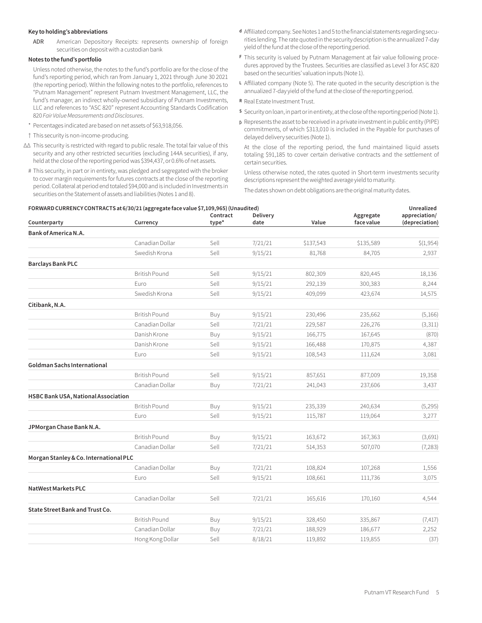#### **Key to holding's abbreviations**

ADR American Depository Receipts: represents ownership of foreign securities on deposit with a custodian bank

#### **Notes to the fund's portfolio**

Unless noted otherwise, the notes to the fund's portfolio are for the close of the fund's reporting period, which ran from January 1, 2021 through June 30 2021 (the reporting period). Within the following notes to the portfolio, references to "Putnam Management" represent Putnam Investment Management, LLC, the fund's manager, an indirect wholly-owned subsidiary of Putnam Investments, LLC and references to "ASC 820" represent Accounting Standards Codification 820 *Fair Value Measurements and Disclosures*.

- \* Percentages indicated are based on net assets of \$63,918,056.
- † This security is non-income-producing.
- ∆∆ This security is restricted with regard to public resale. The total fair value of this security and any other restricted securities (excluding 144A securities), if any, held at the close of the reporting period was \$394,437, or 0.6% of net assets.
- # This security, in part or in entirety, was pledged and segregated with the broker to cover margin requirements for futures contracts at the close of the reporting period. Collateral at period end totaled \$94,000 and is included in Investments in securities on the Statement of assets and liabilities (Notes 1 and 8).
- **<sup>d</sup>** Affiliated company. See Notes 1 and 5 to the financial statements regarding securities lending. The rate quoted in the security description is the annualized 7-day yield of the fund at the close of the reporting period.
- **<sup>F</sup>** This security is valued by Putnam Management at fair value following procedures approved by the Trustees. Securities are classified as Level 3 for ASC 820 based on the securities' valuation inputs (Note 1).
- **<sup>L</sup>** Affiliated company (Note 5). The rate quoted in the security description is the annualized 7-day yield of the fund at the close of the reporting period.
- **<sup>R</sup>** Real Estate Investment Trust.
- **<sup>S</sup>** Security on loan, in part or in entirety, at the close of the reporting period (Note 1).
- <sup>ƥ</sup> Represents the asset to be received in a private investment in public entity (PIPE) commitments, of which \$313,010 is included in the Payable for purchases of delayed delivery securities (Note 1).

At the close of the reporting period, the fund maintained liquid assets totaling \$91,185 to cover certain derivative contracts and the settlement of certain securities.

Unless otherwise noted, the rates quoted in Short-term investments security descriptions represent the weighted average yield to maturity.

The dates shown on debt obligations are the original maturity dates.

| FORWARD CURRENCY CONTRACTS at 6/30/21 (aggregate face value \$7,109,965) (Unaudited) |                      |                   |                  |           |                         | Unrealized                      |
|--------------------------------------------------------------------------------------|----------------------|-------------------|------------------|-----------|-------------------------|---------------------------------|
| Counterparty                                                                         | Currency             | Contract<br>type* | Delivery<br>date | Value     | Aggregate<br>face value | appreciation/<br>(depreciation) |
| Bank of America N.A.                                                                 |                      |                   |                  |           |                         |                                 |
|                                                                                      | Canadian Dollar      | Sell              | 7/21/21          | \$137,543 | \$135,589               | \$(1,954)                       |
|                                                                                      | Swedish Krona        | Sell              | 9/15/21          | 81,768    | 84,705                  | 2,937                           |
| <b>Barclays Bank PLC</b>                                                             |                      |                   |                  |           |                         |                                 |
|                                                                                      | <b>British Pound</b> | Sell              | 9/15/21          | 802,309   | 820,445                 | 18,136                          |
|                                                                                      | Euro                 | Sell              | 9/15/21          | 292,139   | 300,383                 | 8,244                           |
|                                                                                      | Swedish Krona        | Sell              | 9/15/21          | 409,099   | 423,674                 | 14,575                          |
| Citibank, N.A.                                                                       |                      |                   |                  |           |                         |                                 |
|                                                                                      | <b>British Pound</b> | Buy               | 9/15/21          | 230,496   | 235,662                 | (5,166)                         |
|                                                                                      | Canadian Dollar      | Sell              | 7/21/21          | 229,587   | 226,276                 | (3, 311)                        |
|                                                                                      | Danish Krone         | Buy               | 9/15/21          | 166,775   | 167,645                 | (870)                           |
|                                                                                      | Danish Krone         | Sell              | 9/15/21          | 166,488   | 170,875                 | 4,387                           |
|                                                                                      | Euro                 | Sell              | 9/15/21          | 108,543   | 111,624                 | 3,081                           |
| Goldman Sachs International                                                          |                      |                   |                  |           |                         |                                 |
|                                                                                      | <b>British Pound</b> | Sell              | 9/15/21          | 857,651   | 877,009                 | 19,358                          |
|                                                                                      | Canadian Dollar      | Buy               | 7/21/21          | 241,043   | 237,606                 | 3,437                           |
| HSBC Bank USA, National Association                                                  |                      |                   |                  |           |                         |                                 |
|                                                                                      | <b>British Pound</b> | Buy               | 9/15/21          | 235,339   | 240,634                 | (5,295)                         |
|                                                                                      | Euro                 | Sell              | 9/15/21          | 115,787   | 119,064                 | 3,277                           |
| JPMorgan Chase Bank N.A.                                                             |                      |                   |                  |           |                         |                                 |
|                                                                                      | <b>British Pound</b> | Buy               | 9/15/21          | 163,672   | 167,363                 | (3,691)                         |
|                                                                                      | Canadian Dollar      | Sell              | 7/21/21          | 514,353   | 507,070                 | (7,283)                         |
| Morgan Stanley & Co. International PLC                                               |                      |                   |                  |           |                         |                                 |
|                                                                                      | Canadian Dollar      | Buy               | 7/21/21          | 108,824   | 107,268                 | 1,556                           |
|                                                                                      | Euro                 | Sell              | 9/15/21          | 108,661   | 111,736                 | 3,075                           |
| NatWest Markets PLC                                                                  |                      |                   |                  |           |                         |                                 |
|                                                                                      | Canadian Dollar      | Sell              | 7/21/21          | 165,616   | 170,160                 | 4,544                           |
| State Street Bank and Trust Co.                                                      |                      |                   |                  |           |                         |                                 |
|                                                                                      | <b>British Pound</b> | Buy               | 9/15/21          | 328,450   | 335,867                 | (7, 417)                        |
|                                                                                      | Canadian Dollar      | Buy               | 7/21/21          | 188,929   | 186,677                 | 2,252                           |
|                                                                                      | Hong Kong Dollar     | Sell              | 8/18/21          | 119,892   | 119,855                 | (37)                            |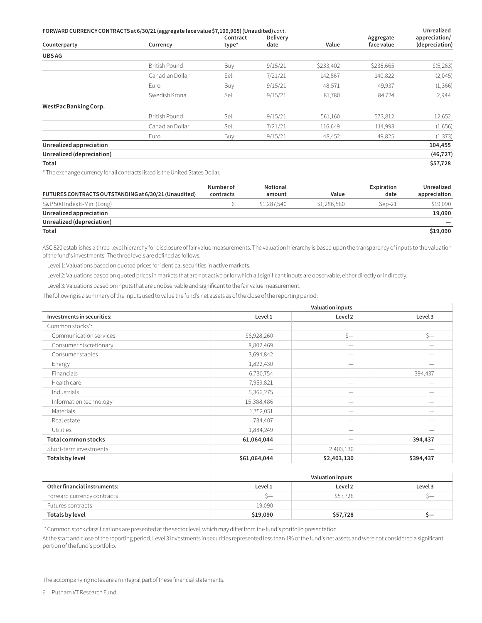| FORWARD CURRENCY CONTRACTS at 6/30/21 (aggregate face value \$7,109,965) (Unaudited) cont. |                      |          |                 |           |            | Unrealized     |
|--------------------------------------------------------------------------------------------|----------------------|----------|-----------------|-----------|------------|----------------|
|                                                                                            |                      | Contract | <b>Delivery</b> |           | Aggregate  | appreciation/  |
| Counterparty                                                                               | Currency             | type*    | date            | Value     | face value | (depreciation) |
| <b>UBSAG</b>                                                                               |                      |          |                 |           |            |                |
|                                                                                            | British Pound        | Buy      | 9/15/21         | \$233,402 | \$238,665  | \$ (5, 263)    |
|                                                                                            | Canadian Dollar      | Sell     | 7/21/21         | 142,867   | 140,822    | (2,045)        |
|                                                                                            | Euro                 | Buy      | 9/15/21         | 48,571    | 49,937     | (1, 366)       |
|                                                                                            | Swedish Krona        | Sell     | 9/15/21         | 81,780    | 84,724     | 2,944          |
| WestPac Banking Corp.                                                                      |                      |          |                 |           |            |                |
|                                                                                            | <b>British Pound</b> | Sell     | 9/15/21         | 561,160   | 573,812    | 12,652         |
|                                                                                            | Canadian Dollar      | Sell     | 7/21/21         | 116,649   | 114,993    | (1,656)        |
|                                                                                            | Euro                 | Buy      | 9/15/21         | 48,452    | 49,825     | (1, 373)       |
| Unrealized appreciation                                                                    |                      |          |                 |           |            | 104,455        |
| Unrealized (depreciation)                                                                  |                      |          |                 |           |            | (46, 727)      |
| Total                                                                                      |                      |          |                 |           |            | \$57,728       |

\* The exchange currency for all contracts listed is the United States Dollar.

| FUTURES CONTRACTS OUTSTANDING at 6/30/21 (Unaudited) | Number of<br>contracts | Notional<br>amount | Value      | Expiration<br>date | Unrealized<br>appreciation |
|------------------------------------------------------|------------------------|--------------------|------------|--------------------|----------------------------|
| S&P 500 Index E-Mini (Long)                          |                        | \$1,287,540        | S1.286.580 | $Sen-21$           | \$19,090                   |
| Unrealized appreciation                              |                        |                    |            |                    | 19,090                     |
| Unrealized (depreciation)                            |                        |                    |            |                    |                            |
| Total                                                |                        |                    |            |                    | \$19,090                   |

ASC 820 establishes a three-level hierarchy for disclosure of fair value measurements. The valuation hierarchy is based upon the transparency of inputs to the valuation of the fund's investments. The three levels are defined as follows:

Level 1: Valuations based on quoted prices for identical securities in active markets.

Level 2: Valuations based on quoted prices in markets that are not active or for which all significant inputs are observable, either directly or indirectly.

Level 3: Valuations based on inputs that are unobservable and significant to the fair value measurement.

The following is a summary of the inputs used to value the fund's net assets as of the close of the reporting period:

|                            | <b>Valuation inputs</b> |                          |           |  |  |  |  |
|----------------------------|-------------------------|--------------------------|-----------|--|--|--|--|
| Investments in securities: | Level 1                 | Level 2                  | Level 3   |  |  |  |  |
| Common stocks*:            |                         |                          |           |  |  |  |  |
| Communication services     | \$6,928,260             | $s-$                     | $S-$      |  |  |  |  |
| Consumer discretionary     | 8,802,469               |                          |           |  |  |  |  |
| Consumer staples           | 3,694,842               | $\hspace{0.05cm}$        |           |  |  |  |  |
| Energy                     | 1,822,430               |                          |           |  |  |  |  |
| Financials                 | 6,730,754               | $\overline{\phantom{0}}$ | 394,437   |  |  |  |  |
| Health care                | 7,959,821               |                          |           |  |  |  |  |
| Industrials                | 5,366,275               |                          |           |  |  |  |  |
| Information technology     | 15,388,486              |                          |           |  |  |  |  |
| Materials                  | 1,752,051               |                          |           |  |  |  |  |
| Real estate                | 734,407                 |                          |           |  |  |  |  |
| <b>Utilities</b>           | 1,884,249               | --                       |           |  |  |  |  |
| <b>Total common stocks</b> | 61,064,044              |                          | 394,437   |  |  |  |  |
| Short-term investments     |                         | 2,403,130                |           |  |  |  |  |
| <b>Totals by level</b>     | \$61,064,044            | \$2,403,130              | \$394,437 |  |  |  |  |

|                              | <b>Valuation inputs</b> |                                 |         |  |
|------------------------------|-------------------------|---------------------------------|---------|--|
| Other financial instruments: | Level 1                 | Level 2                         | Level 3 |  |
| Forward currency contracts   |                         | \$57,728                        |         |  |
| Futures contracts            | 19.090                  | $\hspace{0.1mm}-\hspace{0.1mm}$ |         |  |
| Totals by level              | \$19,090                | \$57,728                        |         |  |

\* Common stock classifications are presented at the sector level, which may differ from the fund's portfolio presentation.

At the start and close of the reporting period, Level 3 investments in securities represented less than 1% of the fund's net assets and were not considered a significant portion of the fund's portfolio.

The accompanying notes are an integral part of these financial statements.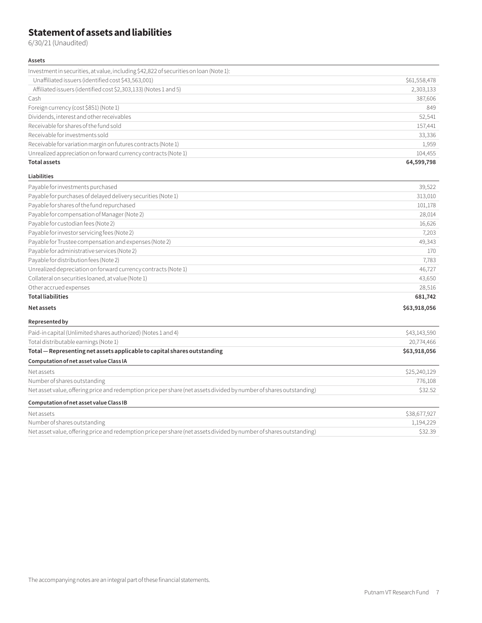# **Statement of assets and liabilities**

6/30/21 (Unaudited)

#### **Assets**

| \$61,558,478 |
|--------------|
| 2,303,133    |
| 387,606      |
| 849          |
| 52,541       |
| 157,441      |
| 33,336       |
| 1,959        |
| 104,455      |
| 64,599,798   |
|              |
| 39,522       |
| 313,010      |
|              |

| Payable for purchases of delayed delivery securities (ivote 1) | 313,UIU      |
|----------------------------------------------------------------|--------------|
| Payable for shares of the fund repurchased                     | 101,178      |
| Payable for compensation of Manager (Note 2)                   | 28,014       |
| Payable for custodian fees (Note 2)                            | 16,626       |
| Payable for investor servicing fees (Note 2)                   | 7,203        |
| Payable for Trustee compensation and expenses (Note 2)         | 49,343       |
| Payable for administrative services (Note 2)                   | 170          |
| Payable for distribution fees (Note 2)                         | 7,783        |
| Unrealized depreciation on forward currency contracts (Note 1) | 46,727       |
| Collateral on securities loaned, at value (Note 1)             | 43,650       |
| Other accrued expenses                                         | 28,516       |
| <b>Total liabilities</b>                                       | 681,742      |
| Net assets                                                     | \$63,918,056 |
| Represented by                                                 |              |
| Paid-in capital (Unlimited shares authorized) (Notes 1 and 4)  | \$43,143,590 |

|                                                                                                                     | ----------   |
|---------------------------------------------------------------------------------------------------------------------|--------------|
| Total distributable earnings (Note 1)                                                                               | 20,774,466   |
| Total - Representing net assets applicable to capital shares outstanding                                            | \$63,918,056 |
| Computation of net asset value Class IA                                                                             |              |
| Net assets                                                                                                          | \$25,240,129 |
| Number of shares outstanding                                                                                        | 776,108      |
| Net asset value, offering price and redemption price per share (net assets divided by number of shares outstanding) | \$32.52      |
| Computation of net asset value Class IB                                                                             |              |
| Net assets                                                                                                          | \$38,677,927 |
| Number of shares outstanding                                                                                        | 1,194,229    |
| Net asset value, offering price and redemption price per share (net assets divided by number of shares outstanding) | \$32.39      |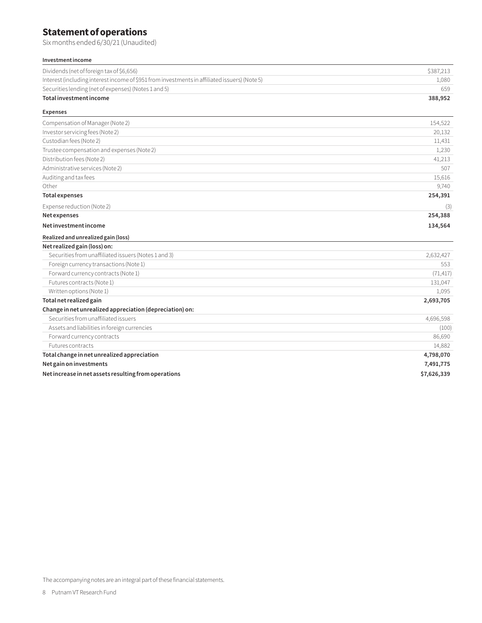# **Statement of operations**

Six months ended 6/30/21 (Unaudited)

| Investment income                                                                             |             |
|-----------------------------------------------------------------------------------------------|-------------|
| Dividends (net of foreign tax of \$6,656)                                                     | \$387,213   |
| Interest (including interest income of \$951 from investments in affiliated issuers) (Note 5) | 1,080       |
| Securities lending (net of expenses) (Notes 1 and 5)                                          | 659         |
| Total investment income                                                                       | 388,952     |
| <b>Expenses</b>                                                                               |             |
| Compensation of Manager (Note 2)                                                              | 154,522     |
| Investor servicing fees (Note 2)                                                              | 20,132      |
| Custodian fees (Note 2)                                                                       | 11,431      |
| Trustee compensation and expenses (Note 2)                                                    | 1,230       |
| Distribution fees (Note 2)                                                                    | 41,213      |
| Administrative services (Note 2)                                                              | 507         |
| Auditing and tax fees                                                                         | 15,616      |
| Other                                                                                         | 9,740       |
| <b>Total expenses</b>                                                                         | 254,391     |
| Expense reduction (Note 2)                                                                    | (3)         |
| Net expenses                                                                                  | 254,388     |
| Net investment income                                                                         | 134,564     |
| Realized and unrealized gain (loss)                                                           |             |
| Net realized gain (loss) on:                                                                  |             |
| Securities from unaffiliated issuers (Notes 1 and 3)                                          | 2,632,427   |
| Foreign currency transactions (Note 1)                                                        | 553         |
| Forward currency contracts (Note 1)                                                           | (71, 417)   |
| Futures contracts (Note 1)                                                                    | 131,047     |
| Written options (Note 1)                                                                      | 1,095       |
| Total net realized gain                                                                       | 2,693,705   |
| Change in net unrealized appreciation (depreciation) on:                                      |             |
| Securities from unaffiliated issuers                                                          | 4,696,598   |
| Assets and liabilities in foreign currencies                                                  | (100)       |
| Forward currency contracts                                                                    | 86,690      |
| <b>Futures contracts</b>                                                                      | 14,882      |
| Total change in net unrealized appreciation                                                   | 4,798,070   |
| Net gain on investments                                                                       | 7,491,775   |
| Net increase in net assets resulting from operations                                          | \$7,626,339 |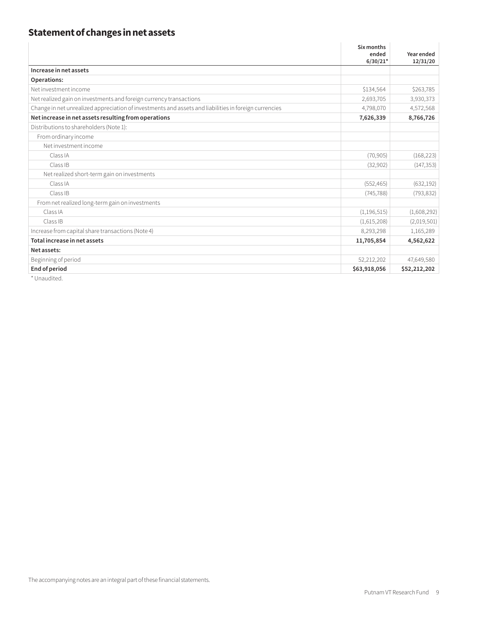# **Statement of changes in net assets**

|                                                                                                       | Six months<br>ended<br>$6/30/21*$ | Year ended<br>12/31/20 |
|-------------------------------------------------------------------------------------------------------|-----------------------------------|------------------------|
| Increase in net assets                                                                                |                                   |                        |
| Operations:                                                                                           |                                   |                        |
| Net investment income                                                                                 | \$134,564                         | \$263,785              |
| Net realized gain on investments and foreign currency transactions                                    | 2,693,705                         | 3,930,373              |
| Change in net unrealized appreciation of investments and assets and liabilities in foreign currencies | 4,798,070                         | 4,572,568              |
| Net increase in net assets resulting from operations                                                  | 7,626,339                         | 8,766,726              |
| Distributions to shareholders (Note 1):                                                               |                                   |                        |
| From ordinary income                                                                                  |                                   |                        |
| Net investment income                                                                                 |                                   |                        |
| Class IA                                                                                              | (70, 905)                         | (168, 223)             |
| Class IB                                                                                              | (32,902)                          | (147, 353)             |
| Net realized short-term gain on investments                                                           |                                   |                        |
| Class IA                                                                                              | (552, 465)                        | (632, 192)             |
| Class IB                                                                                              | (745, 788)                        | (793, 832)             |
| From net realized long-term gain on investments                                                       |                                   |                        |
| Class IA                                                                                              | (1, 196, 515)                     | (1,608,292)            |
| Class IB                                                                                              | (1,615,208)                       | (2,019,501)            |
| Increase from capital share transactions (Note 4)                                                     | 8,293,298                         | 1,165,289              |
| Total increase in net assets                                                                          | 11,705,854                        | 4,562,622              |
| Net assets:                                                                                           |                                   |                        |
| Beginning of period                                                                                   | 52,212,202                        | 47,649,580             |
| End of period                                                                                         | \$63,918,056                      | \$52,212,202           |

\* Unaudited.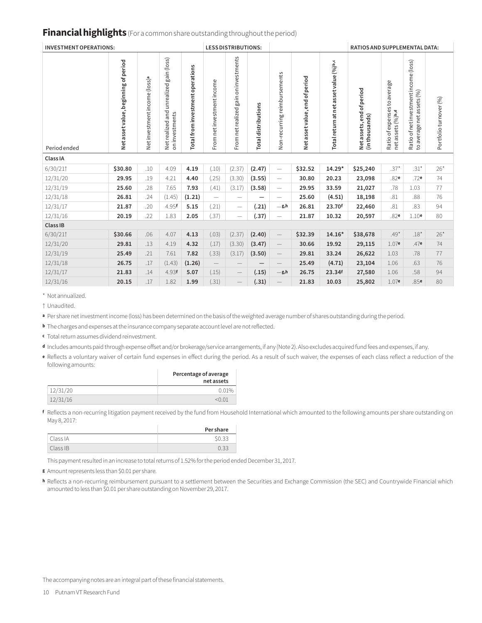#### **Financial highlights** (For a common share outstanding throughout the period)

| <b>INVESTMENT OPERATIONS:</b> |                                      |                                           |                                                          | <b>LESS DISTRIBUTIONS:</b>       |                            |                                             |                            | RATIOS AND SUPPLEMENTAL DATA: |                                |                                        |                                             |                                                  |                                                                    |                        |
|-------------------------------|--------------------------------------|-------------------------------------------|----------------------------------------------------------|----------------------------------|----------------------------|---------------------------------------------|----------------------------|-------------------------------|--------------------------------|----------------------------------------|---------------------------------------------|--------------------------------------------------|--------------------------------------------------------------------|------------------------|
| Period ended                  | Net asset value, beginning of period | Net investment income (loss) <sup>a</sup> | Netrealized and unrealized gain (loss)<br>on investments | Total from investment operations | From net investment income | on investments<br>gain<br>From net realized | <b>Total distributions</b> | Non-recurring reimbursements  | Net asset value, end of period | Total return at net asset value (%)b,c | Net assets, end of period<br>(in thousands) | Ratio of expenses to average<br>netassets (%)b,d | Ratio of net investment income (loss)<br>to average net assets (%) | Portfolio turnover (%) |
| Class IA                      |                                      |                                           |                                                          |                                  |                            |                                             |                            |                               |                                |                                        |                                             |                                                  |                                                                    |                        |
| 6/30/21                       | \$30.80                              | .10                                       | 4.09                                                     | 4.19                             | (.10)                      | (2.37)                                      | (2.47)                     |                               | \$32.52                        | 14.29*                                 | \$25,240                                    | $.37*$                                           | $.31*$                                                             | $26*$                  |
| 12/31/20                      | 29.95                                | .19                                       | 4.21                                                     | 4.40                             | (.25)                      | (3.30)                                      | (3.55)                     | $\overline{\phantom{m}}$      | 30.80                          | 20.23                                  | 23,098                                      | .82e                                             | .72e                                                               | 74                     |
| 12/31/19                      | 25.60                                | .28                                       | 7.65                                                     | 7.93                             | (.41)                      | (3.17)                                      | (3.58)                     |                               | 29.95                          | 33.59                                  | 21,027                                      | .78                                              | 1.03                                                               | 77                     |
| 12/31/18                      | 26.81                                | .24                                       | (1.45)                                                   | (1.21)                           | $\equiv$                   |                                             |                            | $\overline{\phantom{0}}$      | 25.60                          | (4.51)                                 | 18,198                                      | .81                                              | .88                                                                | 76                     |
| 12/31/17                      | 21.87                                | .20                                       | 4.95f                                                    | 5.15                             | (.21)                      |                                             | (.21)                      | $=g,h$                        | 26.81                          | 23.70f                                 | 22,460                                      | .81                                              | .83                                                                | 94                     |
| 12/31/16                      | 20.19                                | .22                                       | 1.83                                                     | 2.05                             | (.37)                      | $\qquad \qquad -$                           | (.37)                      | $\overline{\phantom{0}}$      | 21.87                          | 10.32                                  | 20,597                                      | .82e                                             | 1.10 <sup>e</sup>                                                  | 80                     |
| Class IB                      |                                      |                                           |                                                          |                                  |                            |                                             |                            |                               |                                |                                        |                                             |                                                  |                                                                    |                        |
| 6/30/21                       | \$30.66                              | .06                                       | 4.07                                                     | 4.13                             | (.03)                      | (2.37)                                      | (2.40)                     | $\overline{\phantom{m}}$      | \$32.39                        | $14.16*$                               | \$38,678                                    | $.49*$                                           | $.18*$                                                             | $26*$                  |
| 12/31/20                      | 29.81                                | .13                                       | 4.19                                                     | 4.32                             | (.17)                      | (3.30)                                      | (3.47)                     | $\overline{\phantom{m}}$      | 30.66                          | 19.92                                  | 29,115                                      | 1.07 <sub>e</sub>                                | .47e                                                               | 74                     |
| 12/31/19                      | 25.49                                | .21                                       | 7.61                                                     | 7.82                             | (.33)                      | (3.17)                                      | (3.50)                     | $\overline{\phantom{m}}$      | 29.81                          | 33.24                                  | 26,622                                      | 1.03                                             | .78                                                                | 77                     |
| 12/31/18                      | 26.75                                | .17                                       | (1.43)                                                   | (1.26)                           | $\overline{\phantom{m}}$   |                                             |                            | $\overline{\phantom{m}}$      | 25.49                          | (4.71)                                 | 23,104                                      | 1.06                                             | .63                                                                | 76                     |
| 12/31/17                      | 21.83                                | .14                                       | 4.93f                                                    | 5.07                             | (.15)                      | $\hspace{0.1mm}-\hspace{0.1mm}$             | (.15)                      | $-g,h$                        | 26.75                          | 23.34f                                 | 27,580                                      | 1.06                                             | .58                                                                | 94                     |
| 12/31/16                      | 20.15                                | .17                                       | 1.82                                                     | 1.99                             | (.31)                      | $\qquad \qquad -$                           | (.31)                      | $\qquad \qquad -$             | 21.83                          | 10.03                                  | 25,802                                      | 1.07 <sub>e</sub>                                | .85e                                                               | 80                     |

\* Not annualized.

† Unaudited.

**<sup>a</sup>** Per share net investment income (loss) has been determined on the basis of the weighted average number of shares outstanding during the period.

**<sup>b</sup>** The charges and expenses at the insurance company separate account level are not reflected.

**<sup>c</sup>** Total return assumes dividend reinvestment.

**<sup>d</sup>** Includes amounts paid through expense offset and/or brokerage/service arrangements, if any (Note 2). Also excludes acquired fund fees and expenses, if any.

**<sup>e</sup>** Reflects a voluntary waiver of certain fund expenses in effect during the period. As a result of such waiver, the expenses of each class reflect a reduction of the following amounts:

|          | Percentage of average<br>net assets |
|----------|-------------------------------------|
| 12/31/20 | 0.01%                               |
| 12/31/16 |                                     |

**<sup>f</sup>** Reflects a non-recurring litigation payment received by the fund from Household International which amounted to the following amounts per share outstanding on May 8, 2017:

|          | <b>Pershare</b> |
|----------|-----------------|
| Class IA | JU.JJ           |
| Class IB |                 |

This payment resulted in an increase to total returns of 1.52% for the period ended December 31, 2017.

**<sup>g</sup>** Amount represents less than \$0.01 per share.

**<sup>h</sup>** Reflects a non-recurring reimbursement pursuant to a settlement between the Securities and Exchange Commission (the SEC) and Countrywide Financial which amounted to less than \$0.01 per share outstanding on November 29, 2017.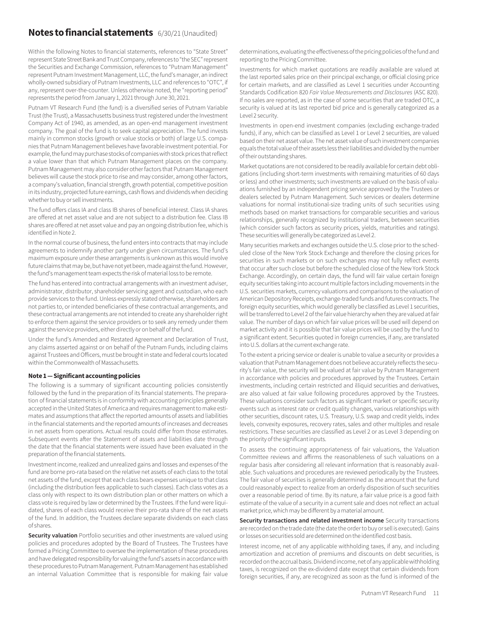### **Notes to financial statements** 6/30/21 (Unaudited)

Within the following Notes to financial statements, references to "State Street" represent State Street Bank and Trust Company, references to "the SEC" represent the Securities and Exchange Commission, references to "Putnam Management" represent Putnam Investment Management, LLC, the fund's manager, an indirect wholly-owned subsidiary of Putnam Investments, LLC and references to "OTC", if any, represent over-the-counter. Unless otherwise noted, the "reporting period" represents the period from January 1, 2021 through June 30, 2021.

Putnam VT Research Fund (the fund) is a diversified series of Putnam Variable Trust (the Trust), a Massachusetts business trust registered under the Investment Company Act of 1940, as amended, as an open-end management investment company. The goal of the fund is to seek capital appreciation. The fund invests mainly in common stocks (growth or value stocks or both) of large U.S. companies that Putnam Management believes have favorable investment potential. For example, the fund may purchase stocks of companies with stock prices that reflect a value lower than that which Putnam Management places on the company. Putnam Management may also consider other factors that Putnam Management believes will cause the stock price to rise and may consider, among other factors, a company's valuation, financial strength, growth potential, competitive position in its industry, projected future earnings, cash flows and dividends when deciding whether to buy or sell investments.

The fund offers class IA and class IB shares of beneficial interest. Class IA shares are offered at net asset value and are not subject to a distribution fee. Class IB shares are offered at net asset value and pay an ongoing distribution fee, which is identified in Note 2.

In the normal course of business, the fund enters into contracts that may include agreements to indemnify another party under given circumstances. The fund's maximum exposure under these arrangements is unknown as this would involve future claims that may be, but have not yet been, made against the fund. However, the fund's management team expects the risk of material loss to be remote.

The fund has entered into contractual arrangements with an investment adviser, administrator, distributor, shareholder servicing agent and custodian, who each provide services to the fund. Unless expressly stated otherwise, shareholders are not parties to, or intended beneficiaries of these contractual arrangements, and these contractual arrangements are not intended to create any shareholder right to enforce them against the service providers or to seek any remedy under them against the service providers, either directly or on behalf of the fund.

Under the fund's Amended and Restated Agreement and Declaration of Trust, any claims asserted against or on behalf of the Putnam Funds, including claims against Trustees and Officers, must be brought in state and federal courts located within the Commonwealth of Massachusetts.

#### **Note 1 — Significant accounting policies**

The following is a summary of significant accounting policies consistently followed by the fund in the preparation of its financial statements. The preparation of financial statements is in conformity with accounting principles generally accepted in the United States of America and requires management to make estimates and assumptions that affect the reported amounts of assets and liabilities in the financial statements and the reported amounts of increases and decreases in net assets from operations. Actual results could differ from those estimates. Subsequent events after the Statement of assets and liabilities date through the date that the financial statements were issued have been evaluated in the preparation of the financial statements.

Investment income, realized and unrealized gains and losses and expenses of the fund are borne pro-rata based on the relative net assets of each class to the total net assets of the fund, except that each class bears expenses unique to that class (including the distribution fees applicable to such classes). Each class votes as a class only with respect to its own distribution plan or other matters on which a class vote is required by law or determined by the Trustees. If the fund were liquidated, shares of each class would receive their pro-rata share of the net assets of the fund. In addition, the Trustees declare separate dividends on each class of shares.

**Security valuation** Portfolio securities and other investments are valued using policies and procedures adopted by the Board of Trustees. The Trustees have formed a Pricing Committee to oversee the implementation of these procedures and have delegated responsibility for valuing the fund's assets in accordance with these procedures to Putnam Management. Putnam Management has established an internal Valuation Committee that is responsible for making fair value

determinations, evaluating the effectiveness of the pricing policies of the fund and reporting to the Pricing Committee.

Investments for which market quotations are readily available are valued at the last reported sales price on their principal exchange, or official closing price for certain markets, and are classified as Level 1 securities under Accounting Standards Codification 820 *Fair Value Measurements and Disclosures* (ASC 820). If no sales are reported, as in the case of some securities that are traded OTC, a security is valued at its last reported bid price and is generally categorized as a Level 2 security.

Investments in open-end investment companies (excluding exchange-traded funds), if any, which can be classified as Level 1 or Level 2 securities, are valued based on their net asset value. The net asset value of such investment companies equals the total value of their assets less their liabilities and divided by the number of their outstanding shares.

Market quotations are not considered to be readily available for certain debt obligations (including short-term investments with remaining maturities of 60 days or less) and other investments; such investments are valued on the basis of valuations furnished by an independent pricing service approved by the Trustees or dealers selected by Putnam Management. Such services or dealers determine valuations for normal institutional-size trading units of such securities using methods based on market transactions for comparable securities and various relationships, generally recognized by institutional traders, between securities (which consider such factors as security prices, yields, maturities and ratings). These securities will generally be categorized as Level 2.

Many securities markets and exchanges outside the U.S. close prior to the scheduled close of the New York Stock Exchange and therefore the closing prices for securities in such markets or on such exchanges may not fully reflect events that occur after such close but before the scheduled close of the New York Stock Exchange. Accordingly, on certain days, the fund will fair value certain foreign equity securities taking into account multiple factors including movements in the U.S. securities markets, currency valuations and comparisons to the valuation of American Depository Receipts, exchange-traded funds and futures contracts. The foreign equity securities, which would generally be classified as Level 1 securities, will be transferred to Level 2 of the fair value hierarchy when they are valued at fair value. The number of days on which fair value prices will be used will depend on market activity and it is possible that fair value prices will be used by the fund to a significant extent. Securities quoted in foreign currencies, if any, are translated into U.S. dollars at the current exchange rate.

To the extent a pricing service or dealer is unable to value a security or provides a valuation that Putnam Management does not believe accurately reflects the security's fair value, the security will be valued at fair value by Putnam Management in accordance with policies and procedures approved by the Trustees. Certain investments, including certain restricted and illiquid securities and derivatives, are also valued at fair value following procedures approved by the Trustees. These valuations consider such factors as significant market or specific security events such as interest rate or credit quality changes, various relationships with other securities, discount rates, U.S. Treasury, U.S. swap and credit yields, index levels, convexity exposures, recovery rates, sales and other multiples and resale restrictions. These securities are classified as Level 2 or as Level 3 depending on the priority of the significant inputs.

To assess the continuing appropriateness of fair valuations, the Valuation Committee reviews and affirms the reasonableness of such valuations on a regular basis after considering all relevant information that is reasonably available. Such valuations and procedures are reviewed periodically by the Trustees. The fair value of securities is generally determined as the amount that the fund could reasonably expect to realize from an orderly disposition of such securities over a reasonable period of time. By its nature, a fair value price is a good faith estimate of the value of a security in a current sale and does not reflect an actual market price, which may be different by a material amount.

**Security transactions and related investment income** Security transactions are recorded on the trade date (the date the order to buy or sell is executed). Gains or losses on securities sold are determined on the identified cost basis.

Interest income, net of any applicable withholding taxes, if any, and including amortization and accretion of premiums and discounts on debt securities, is recorded on the accrual basis. Dividend income, net of any applicable withholding taxes, is recognized on the ex-dividend date except that certain dividends from foreign securities, if any, are recognized as soon as the fund is informed of the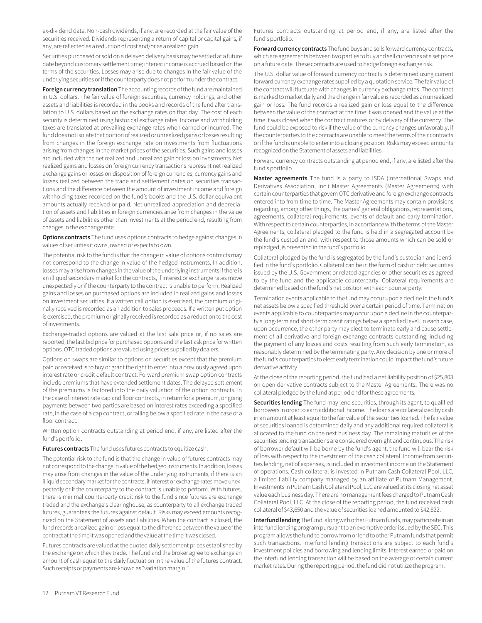ex-dividend date. Non-cash dividends, if any, are recorded at the fair value of the securities received. Dividends representing a return of capital or capital gains, if any, are reflected as a reduction of cost and/or as a realized gain.

Securities purchased or sold on a delayed delivery basis may be settled at a future date beyond customary settlement time; interest income is accrued based on the terms of the securities. Losses may arise due to changes in the fair value of the underlying securities or if the counterparty does not perform under the contract.

**Foreign currency translation** The accounting records of the fund are maintained in U.S. dollars. The fair value of foreign securities, currency holdings, and other assets and liabilities is recorded in the books and records of the fund after translation to U.S. dollars based on the exchange rates on that day. The cost of each security is determined using historical exchange rates. Income and withholding taxes are translated at prevailing exchange rates when earned or incurred. The fund does not isolate that portion of realized or unrealized gains or losses resulting from changes in the foreign exchange rate on investments from fluctuations arising from changes in the market prices of the securities. Such gains and losses are included with the net realized and unrealized gain or loss on investments. Net realized gains and losses on foreign currency transactions represent net realized exchange gains or losses on disposition of foreign currencies, currency gains and losses realized between the trade and settlement dates on securities transactions and the difference between the amount of investment income and foreign withholding taxes recorded on the fund's books and the U.S. dollar equivalent amounts actually received or paid. Net unrealized appreciation and depreciation of assets and liabilities in foreign currencies arise from changes in the value of assets and liabilities other than investments at the period end, resulting from changes in the exchange rate.

**Options contracts** The fund uses options contracts to hedge against changes in values of securities it owns, owned or expects to own.

The potential risk to the fund is that the change in value of options contracts may not correspond to the change in value of the hedged instruments. In addition, losses may arise from changes in the value of the underlying instruments if there is an illiquid secondary market for the contracts, if interest or exchange rates move unexpectedly or if the counterparty to the contract is unable to perform. Realized gains and losses on purchased options are included in realized gains and losses on investment securities. If a written call option is exercised, the premium originally received is recorded as an addition to sales proceeds. If a written put option is exercised, the premium originally received is recorded as a reduction to the cost of investments.

Exchange-traded options are valued at the last sale price or, if no sales are reported, the last bid price for purchased options and the last ask price for written options. OTC traded options are valued using prices supplied by dealers.

Options on swaps are similar to options on securities except that the premium paid or received is to buy or grant the right to enter into a previously agreed upon interest rate or credit default contract. Forward premium swap option contracts include premiums that have extended settlement dates. The delayed settlement of the premiums is factored into the daily valuation of the option contracts. In the case of interest rate cap and floor contracts, in return for a premium, ongoing payments between two parties are based on interest rates exceeding a specified rate, in the case of a cap contract, or falling below a specified rate in the case of a floor contract.

Written option contracts outstanding at period end, if any, are listed after the fund's portfolio**.**

**Futures contracts** The fund uses futures contracts to equitize cash.

The potential risk to the fund is that the change in value of futures contracts may not correspond to the change in value of the hedged instruments. In addition, losses may arise from changes in the value of the underlying instruments, if there is an illiquid secondary market for the contracts, if interest or exchange rates move unexpectedly or if the counterparty to the contract is unable to perform. With futures, there is minimal counterparty credit risk to the fund since futures are exchange traded and the exchange's clearinghouse, as counterparty to all exchange traded futures, guarantees the futures against default. Risks may exceed amounts recognized on the Statement of assets and liabilities. When the contract is closed, the fund records a realized gain or loss equal to the difference between the value of the contract at the time it was opened and the value at the time it was closed.

Futures contracts are valued at the quoted daily settlement prices established by the exchange on which they trade. The fund and the broker agree to exchange an amount of cash equal to the daily fluctuation in the value of the futures contract. Such receipts or payments are known as "variation margin."

Futures contracts outstanding at period end, if any, are listed after the fund's portfolio.

**Forward currency contracts** The fund buys and sells forward currency contracts, which are agreements between two parties to buy and sell currencies at a set price on a future date. These contracts are used to hedge foreign exchange risk.

The U.S. dollar value of forward currency contracts is determined using current forward currency exchange rates supplied by a quotation service. The fair value of the contract will fluctuate with changes in currency exchange rates. The contract is marked to market daily and the change in fair value is recorded as an unrealized gain or loss. The fund records a realized gain or loss equal to the difference between the value of the contract at the time it was opened and the value at the time it was closed when the contract matures or by delivery of the currency. The fund could be exposed to risk if the value of the currency changes unfavorably, if the counterparties to the contracts are unable to meet the terms of their contracts or if the fund is unable to enter into a closing position. Risks may exceed amounts recognized on the Statement of assets and liabilities.

Forward currency contracts outstanding at period end, if any, are listed after the fund's portfolio.

**Master agreements** The fund is a party to ISDA (International Swaps and Derivatives Association, Inc.) Master Agreements (Master Agreements) with certain counterparties that govern OTC derivative and foreign exchange contracts entered into from time to time. The Master Agreements may contain provisions regarding, among other things, the parties' general obligations, representations, agreements, collateral requirements, events of default and early termination. With respect to certain counterparties, in accordance with the terms of the Master Agreements, collateral pledged to the fund is held in a segregated account by the fund's custodian and, with respect to those amounts which can be sold or repledged, is presented in the fund's portfolio.

Collateral pledged by the fund is segregated by the fund's custodian and identified in the fund's portfolio. Collateral can be in the form of cash or debt securities issued by the U.S. Government or related agencies or other securities as agreed to by the fund and the applicable counterparty. Collateral requirements are determined based on the fund's net position with each counterparty.

Termination events applicable to the fund may occur upon a decline in the fund's net assets below a specified threshold over a certain period of time. Termination events applicable to counterparties may occur upon a decline in the counterparty's long-term and short-term credit ratings below a specified level. In each case, upon occurrence, the other party may elect to terminate early and cause settlement of all derivative and foreign exchange contracts outstanding, including the payment of any losses and costs resulting from such early termination, as reasonably determined by the terminating party. Any decision by one or more of the fund's counterparties to elect early termination could impact the fund's future derivative activity.

At the close of the reporting period, the fund had a net liability position of \$25,803 on open derivative contracts subject to the Master Agreements**.** There was no collateral pledged by the fund at period end for these agreements.

**Securities lending** The fund may lend securities, through its agent, to qualified borrowers in order to earn additional income. The loans are collateralized by cash in an amount at least equal to the fair value of the securities loaned. The fair value of securities loaned is determined daily and any additional required collateral is allocated to the fund on the next business day. The remaining maturities of the securities lending transactions are considered overnight and continuous. The risk of borrower default will be borne by the fund's agent; the fund will bear the risk of loss with respect to the investment of the cash collateral. Income from securities lending, net of expenses, is included in investment income on the Statement of operations. Cash collateral is invested in Putnam Cash Collateral Pool, LLC, a limited liability company managed by an affiliate of Putnam Management. Investments in Putnam Cash Collateral Pool, LLC are valued at its closing net asset value each business day. There are no management fees charged to Putnam Cash Collateral Pool, LLC. At the close of the reporting period, the fund received cash collateral of \$43,650 and the value of securities loaned amounted to \$42,822.

**Interfund lending** The fund, along with other Putnam funds, may participate in an interfund lending program pursuant to an exemptive order issued by the SEC. This program allows the fund to borrow from or lend to other Putnam funds that permit such transactions. Interfund lending transactions are subject to each fund's investment policies and borrowing and lending limits. Interest earned or paid on the interfund lending transaction will be based on the average of certain current market rates. During the reporting period, the fund did not utilize the program.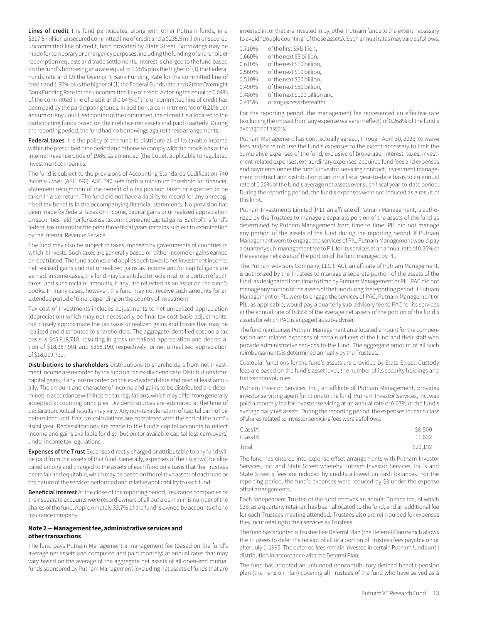**Lines of credit** The fund participates, along with other Putnam funds, in a \$317.5 million unsecured committed line of credit and a \$235.5 million unsecured uncommitted line of credit, both provided by State Street. Borrowings may be made for temporary or emergency purposes, including the funding of shareholder redemption requests and trade settlements. Interest is charged to the fund based on the fund's borrowing at a rate equal to 1.25% plus the higher of (1) the Federal Funds rate and (2) the Overnight Bank Funding Rate for the committed line of credit and 1.30% plus the higher of (1) the Federal Funds rate and (2) the Overnight Bank Funding Rate for the uncommitted line of credit. A closing fee equal to 0.04% of the committed line of credit and 0.04% of the uncommitted line of credit has been paid by the participating funds. In addition, a commitment fee of 0.21% per annum on any unutilized portion of the committed line of credit is allocated to the participating funds based on their relative net assets and paid quarterly. During the reporting period, the fund had no borrowings against these arrangements.

**Federal taxes** It is the policy of the fund to distribute all of its taxable income within the prescribed time period and otherwise comply with the provisions of the Internal Revenue Code of 1986, as amended (the Code), applicable to regulated investment companies.

The fund is subject to the provisions of Accounting Standards Codification 740 *Income Taxes* (ASC 740). ASC 740 sets forth a minimum threshold for financial statement recognition of the benefit of a tax position taken or expected to be taken in a tax return. The fund did not have a liability to record for any unrecognized tax benefits in the accompanying financial statements. No provision has been made for federal taxes on income, capital gains or unrealized appreciation on securities held nor for excise tax on income and capital gains. Each of the fund's federal tax returns for the prior three fiscal years remains subject to examination by the Internal Revenue Service.

The fund may also be subject to taxes imposed by governments of countries in which it invests. Such taxes are generally based on either income or gains earned or repatriated. The fund accrues and applies such taxes to net investment income, net realized gains and net unrealized gains as income and/or capital gains are earned. In some cases, the fund may be entitled to reclaim all or a portion of such taxes, and such reclaim amounts, if any, are reflected as an asset on the fund's books. In many cases, however, the fund may not receive such amounts for an extended period of time, depending on the country of investment

Tax cost of investments includes adjustments to net unrealized appreciation (depreciation) which may not necessarily be final tax cost basis adjustments, but closely approximate the tax basis unrealized gains and losses that may be realized and distributed to shareholders. The aggregate identified cost on a tax basis is \$45,918,718, resulting in gross unrealized appreciation and depreciation of \$18,387,901 and \$368,190, respectively, or net unrealized appreciation of \$18,019,711.

**Distributions to shareholders** Distributions to shareholders from net investment income are recorded by the fund on the ex-dividend date. Distributions from capital gains, if any, are recorded on the ex-dividend date and paid at least annually. The amount and character of income and gains to be distributed are determined in accordance with income tax regulations, which may differ from generally accepted accounting principles. Dividend sources are estimated at the time of declaration. Actual results may vary. Any non-taxable return of capital cannot be determined until final tax calculations are completed after the end of the fund's fiscal year. Reclassifications are made to the fund's capital accounts to reflect income and gains available for distribution (or available capital loss carryovers) under income tax regulations.

**Expenses of the Trust** Expenses directly charged or attributable to any fund will be paid from the assets of that fund. Generally, expenses of the Trust will be allocated among and charged to the assets of each fund on a basis that the Trustees deem fair and equitable, which may be based on the relative assets of each fund or the nature of the services performed and relative applicability to each fund.

**Beneficial interest** At the close of the reporting period, insurance companies or their separate accounts were record owners of all but a de minimis number of the shares of the fund. Approximately 33.7% of the fund is owned by accounts of one insurance company.

#### **Note 2 — Management fee, administrative services and other transactions**

The fund pays Putnam Management a management fee (based on the fund's average net assets and computed and paid monthly) at annual rates that may vary based on the average of the aggregate net assets of all open-end mutual funds sponsored by Putnam Management (excluding net assets of funds that are

invested in, or that are invested in by, other Putnam funds to the extent necessary to avoid "double counting" of those assets). Such annual rates may vary as follows:

| 0.710% | of the first \$5 billion,     |
|--------|-------------------------------|
| 0.660% | of the next \$5 billion.      |
| 0.610% | of the next \$10 billion,     |
| 0.560% | of the next \$10 billion,     |
| 0.510% | of the next \$50 billion,     |
| 0.490% | of the next \$50 billion,     |
| 0.480% | of the next \$100 billion and |
| 0.475% | of any excess thereafter.     |

For the reporting period, the management fee represented an effective rate (excluding the impact from any expense waivers in effect) of 0.268% of the fund's average net assets.

Putnam Management has contractually agreed, through April 30, 2023, to waive fees and/or reimburse the fund's expenses to the extent necessary to limit the cumulative expenses of the fund, exclusive of brokerage, interest, taxes, investment-related expenses, extraordinary expenses, acquired fund fees and expenses and payments under the fund's investor servicing contract, investment management contract and distribution plan, on a fiscal year-to-date basis to an annual rate of 0.20% of the fund's average net assets over such fiscal year-to-date period. During the reporting period, the fund's expenses were not reduced as a result of this limit.

Putnam Investments Limited (PIL), an affiliate of Putnam Management, is authorized by the Trustees to manage a separate portion of the assets of the fund as determined by Putnam Management from time to time. PIL did not manage any portion of the assets of the fund during the reporting period. If Putnam Management were to engage the services of PIL, Putnam Management would pay a quarterly sub-management fee to PIL for its services at an annual rate of 0.35% of the average net assets of the portion of the fund managed by PIL.

The Putnam Advisory Company, LLC (PAC), an affiliate of Putnam Management, is authorized by the Trustees to manage a separate portion of the assets of the fund, as designated from time to time by Putnam Management or PIL. PAC did not manage any portion of the assets of the fund during the reporting period. If Putnam Management or PIL were to engage the services of PAC, Putnam Management or PIL, as applicable, would pay a quarterly sub-advisory fee to PAC for its services at the annual rate of 0.35% of the average net assets of the portion of the fund's assets for which PAC is engaged as sub-adviser.

The fund reimburses Putnam Management an allocated amount for the compensation and related expenses of certain officers of the fund and their staff who provide administrative services to the fund. The aggregate amount of all such reimbursements is determined annually by the Trustees.

Custodial functions for the fund's assets are provided by State Street. Custody fees are based on the fund's asset level, the number of its security holdings and transaction volumes.

Putnam Investor Services, Inc., an affiliate of Putnam Management, provides investor servicing agent functions to the fund. Putnam Investor Services, Inc. was paid a monthly fee for investor servicing at an annual rate of 0.07% of the fund's average daily net assets. During the reporting period, the expenses for each class of shares related to investor servicing fees were as follows:

| Class IA | \$8,500  |
|----------|----------|
| Class IB | 11.632   |
| Total    | \$20,132 |

The fund has entered into expense offset arrangements with Putnam Investor Services, Inc. and State Street whereby Putnam Investor Services, Inc.'s and State Street's fees are reduced by credits allowed on cash balances. For the reporting period, the fund's expenses were reduced by \$3 under the expense offset arrangements.

Each Independent Trustee of the fund receives an annual Trustee fee, of which \$38, as a quarterly retainer, has been allocated to the fund, and an additional fee for each Trustees meeting attended. Trustees also are reimbursed for expenses they incur relating to their services as Trustees.

The fund has adopted a Trustee Fee Deferral Plan (the Deferral Plan) which allows the Trustees to defer the receipt of all or a portion of Trustees fees payable on or after July 1, 1995. The deferred fees remain invested in certain Putnam funds until distribution in accordance with the Deferral Plan.

The fund has adopted an unfunded noncontributory defined benefit pension plan (the Pension Plan) covering all Trustees of the fund who have served as a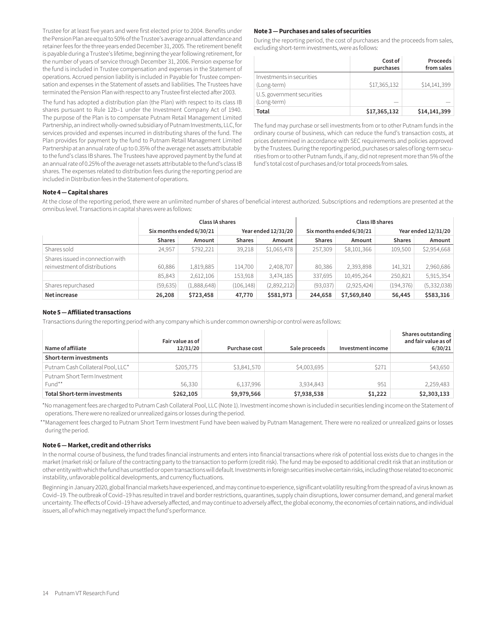Trustee for at least five years and were first elected prior to 2004. Benefits under the Pension Plan are equal to 50% of the Trustee's average annual attendance and retainer fees for the three years ended December 31, 2005. The retirement benefit is payable during a Trustee's lifetime, beginning the year following retirement, for the number of years of service through December 31, 2006. Pension expense for the fund is included in Trustee compensation and expenses in the Statement of operations. Accrued pension liability is included in Payable for Trustee compensation and expenses in the Statement of assets and liabilities. The Trustees have terminated the Pension Plan with respect to any Trustee first elected after 2003.

The fund has adopted a distribution plan (the Plan) with respect to its class IB shares pursuant to Rule 12b–1 under the Investment Company Act of 1940. The purpose of the Plan is to compensate Putnam Retail Management Limited Partnership, an indirect wholly-owned subsidiary of Putnam Investments, LLC, for services provided and expenses incurred in distributing shares of the fund. The Plan provides for payment by the fund to Putnam Retail Management Limited Partnership at an annual rate of up to 0.35% of the average net assets attributable to the fund's class IB shares. The Trustees have approved payment by the fund at an annual rate of 0.25% of the average net assets attributable to the fund's class IB shares. The expenses related to distribution fees during the reporting period are included in Distribution fees in the Statement of operations.

#### **Note 3 — Purchases and sales of securities**

During the reporting period, the cost of purchases and the proceeds from sales, excluding short-term investments, were as follows:

|                                           | Cost of<br>purchases | Proceeds<br>from sales |
|-------------------------------------------|----------------------|------------------------|
| Investments in securities<br>(Long-term)  | \$17,365,132         | \$14,141,399           |
| U.S. government securities<br>(Long-term) |                      |                        |
| Total                                     | \$17,365,132         | \$14,141,399           |

The fund may purchase or sell investments from or to other Putnam funds in the ordinary course of business, which can reduce the fund's transaction costs, at prices determined in accordance with SEC requirements and policies approved by the Trustees. During the reporting period, purchases or sales of long-term securities from or to other Putnam funds, if any, did not represent more than 5% of the fund's total cost of purchases and/or total proceeds from sales.

#### **Note 4 — Capital shares**

At the close of the reporting period, there were an unlimited number of shares of beneficial interest authorized. Subscriptions and redemptions are presented at the omnibus level. Transactions in capital shares were as follows:

|                                                                   |                          | <b>Class IA shares</b> |                     |             | Class IB shares |                          |                     |             |  |
|-------------------------------------------------------------------|--------------------------|------------------------|---------------------|-------------|-----------------|--------------------------|---------------------|-------------|--|
|                                                                   | Six months ended 6/30/21 |                        | Year ended 12/31/20 |             |                 | Six months ended 6/30/21 | Year ended 12/31/20 |             |  |
|                                                                   | <b>Shares</b>            | Amount                 | <b>Shares</b>       | Amount      | <b>Shares</b>   | Amount                   | <b>Shares</b>       | Amount      |  |
| Shares sold                                                       | 24.957                   | \$792.221              | 39,218              | \$1,065,478 | 257,309         | \$8,101,366              | 109,500             | \$2,954,668 |  |
| Shares issued in connection with<br>reinvestment of distributions | 60,886                   | 1,819,885              | 114,700             | 2,408,707   | 80,386          | 2,393,898                | 141,321             | 2,960,686   |  |
|                                                                   | 85,843                   | 2,612,106              | 153,918             | 3,474,185   | 337,695         | 10,495,264               | 250,821             | 5,915,354   |  |
| Shares repurchased                                                | (59, 635)                | (1,888,648)            | (106, 148)          | (2,892,212) | (93,037)        | (2,925,424)              | (194, 376)          | (5,332,038) |  |
| Net increase                                                      | 26,208                   | \$723,458              | 47,770              | \$581,973   | 244,658         | \$7,569,840              | 56,445              | \$583,316   |  |

#### **Note 5 — Affiliated transactions**

Transactions during the reporting period with any company which is under common ownership or control were as follows:

| Name of affiliate                      | Fair value as of<br>12/31/20 | Purchase cost | Sale proceeds | Investment income | Shares outstanding<br>and fair value as of<br>6/30/21 |
|----------------------------------------|------------------------------|---------------|---------------|-------------------|-------------------------------------------------------|
| Short-term investments                 |                              |               |               |                   |                                                       |
| Putnam Cash Collateral Pool, LLC*      | \$205,775                    | \$3,841,570   | \$4,003,695   | \$271             | \$43,650                                              |
| Putnam Short Term Investment<br>Fund** | 56.330                       | 6.137.996     | 3,934,843     | 951               | 2,259,483                                             |
| <b>Total Short-term investments</b>    | \$262,105                    | \$9,979,566   | \$7,938,538   | \$1,222           | \$2,303,133                                           |

\*No management fees are charged to Putnam Cash Collateral Pool, LLC (Note 1). Investment income shown is included in securities lending income on the Statement of operations. There were no realized or unrealized gains or losses during the period.

 \*\*Management fees charged to Putnam Short Term Investment Fund have been waived by Putnam Management. There were no realized or unrealized gains or losses during the period.

#### **Note 6 — Market, credit and other risks**

In the normal course of business, the fund trades financial instruments and enters into financial transactions where risk of potential loss exists due to changes in the market (market risk) or failure of the contracting party to the transaction to perform (credit risk). The fund may be exposed to additional credit risk that an institution or other entity with which the fund has unsettled or open transactions will default.Investments in foreign securities involve certain risks, including those related to economic instability, unfavorable political developments, and currency fluctuations.

Beginning in January 2020, global financial markets have experienced, and may continue to experience, significant volatility resulting from the spread of a virus known as Covid–19. The outbreak of Covid–19 has resulted in travel and border restrictions, quarantines, supply chain disruptions, lower consumer demand, and general market uncertainty. The effects of Covid–19 have adversely affected, and may continue to adversely affect, the global economy, the economies of certain nations, and individual issuers, all of which may negatively impact the fund's performance.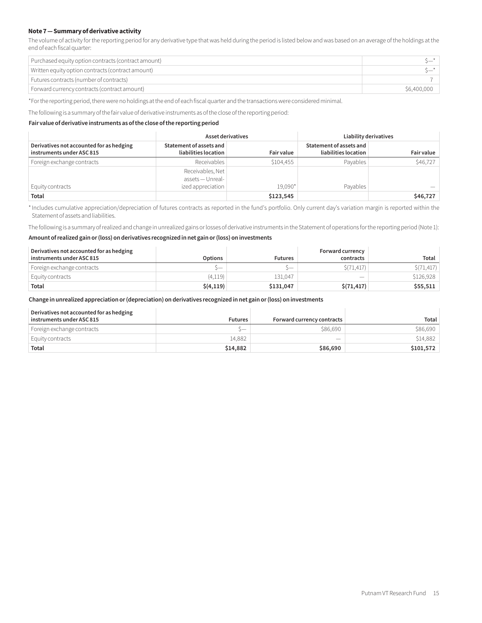#### **Note 7 — Summary of derivative activity**

The volume of activity for the reporting period for any derivative type that was held during the period is listed below and was based on an average of the holdings at the end of each fiscal quarter:

| Purchased equity option contracts (contract amount) |             |
|-----------------------------------------------------|-------------|
| Written equity option contracts (contract amount)   |             |
| Futures contracts (number of contracts)             |             |
| Forward currency contracts (contract amount)        | \$6,400,000 |

\*For the reporting period, there were no holdings at the end of each fiscal quarter and the transactions were considered minimal.

The following is a summary of the fair value of derivative instruments as of the close of the reporting period:

#### **Fair value of derivative instruments as of the close of the reporting period**

|                                                                       | Asset derivatives                                         |                   | Liability derivatives                           |                   |  |  |
|-----------------------------------------------------------------------|-----------------------------------------------------------|-------------------|-------------------------------------------------|-------------------|--|--|
| Derivatives not accounted for as hedging<br>instruments under ASC 815 | Statement of assets and<br>liabilities location           | <b>Fair value</b> | Statement of assets and<br>liabilities location | <b>Fair value</b> |  |  |
| Foreign exchange contracts                                            | Receivables                                               | \$104,455         | Pavables                                        | \$46,727          |  |  |
| Equity contracts                                                      | Receivables, Net<br>assets - Unreal-<br>ized appreciation | $19.090*$         | Payables                                        |                   |  |  |
|                                                                       |                                                           |                   |                                                 |                   |  |  |
| Total                                                                 |                                                           | \$123,545         |                                                 | \$46,727          |  |  |

\* Includes cumulative appreciation/depreciation of futures contracts as reported in the fund's portfolio. Only current day's variation margin is reported within the Statement of assets and liabilities.

The following is a summary of realized and change in unrealized gains or losses of derivative instruments in the Statement of operations for the reporting period (Note 1):

#### **Amount of realized gain or (loss) on derivatives recognized in net gain or (loss) on investments**

| Derivatives not accounted for as hedging<br>instruments under ASC 815 | <b>Options</b> | <b>Futures</b>           | <b>Forward currency</b><br>contracts | Total        |
|-----------------------------------------------------------------------|----------------|--------------------------|--------------------------------------|--------------|
| Foreign exchange contracts                                            | `—             | $\overline{\phantom{a}}$ | S(71, 417)                           | \$ (71, 417) |
| Equity contracts                                                      | (4, 119)       | 131.047                  | $\overline{\phantom{a}}$             | \$126,928    |
| <b>Total</b>                                                          | \$(4,119)      | \$131,047                | \$(71, 417)                          | \$55,511     |

#### **Change in unrealized appreciation or (depreciation) on derivatives recognized in net gain or (loss) on investments**

| Derivatives not accounted for as hedging<br>instruments under ASC 815 | Futures  | <b>Forward currency contracts</b> | Total     |
|-----------------------------------------------------------------------|----------|-----------------------------------|-----------|
| Foreign exchange contracts                                            | $\sim$   | \$86,690                          | \$86,690  |
| Equity contracts                                                      | 14.882   | $\overline{\phantom{a}}$          | \$14,882  |
| Total                                                                 | \$14,882 | \$86,690                          | \$101,572 |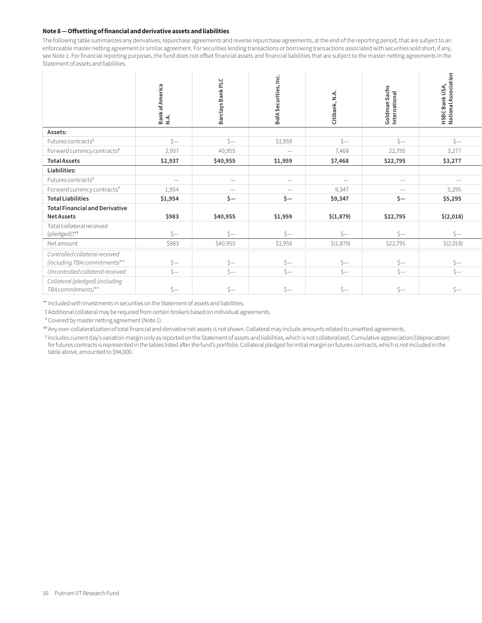#### **Note 8 — Offsetting of financial and derivative assets and liabilities**

The following table summarizes any derivatives, repurchase agreements and reverse repurchase agreements, at the end of the reporting period, that are subject to an enforceable master netting agreement or similar agreement. For securities lending transactions or borrowing transactions associated with securities sold short, if any, see Note 1. For financial reporting purposes, the fund does not offset financial assets and financial liabilities that are subject to the master netting agreements in the Statement of assets and liabilities.

|                                         |                          | $\cup$    |           |                                 |                                |                                     |
|-----------------------------------------|--------------------------|-----------|-----------|---------------------------------|--------------------------------|-------------------------------------|
|                                         |                          |           |           |                                 |                                |                                     |
|                                         |                          |           |           |                                 |                                |                                     |
|                                         |                          |           |           |                                 | Goldman Sachs<br>International | HSBC Bank USA,<br>National Associat |
|                                         | Bank<br>N.A.             |           |           | Ë                               |                                |                                     |
| Assets:                                 |                          |           |           |                                 |                                |                                     |
| Futures contracts <sup>§</sup>          | $\zeta-$                 | $\zeta$ — | \$1,959   | $\zeta$ —                       | $\zeta$ —                      | $\zeta-$                            |
| Forward currency contracts#             | 2,937                    | 40,955    | $\sim$    | 7,468                           | 22,795                         | 3,277                               |
| <b>Total Assets</b>                     | \$2,937                  | \$40,955  | \$1,959   | \$7,468                         | \$22,795                       | \$3,277                             |
| Liabilities:                            |                          |           |           |                                 |                                |                                     |
| Futures contracts <sup>§</sup>          | $\overline{\phantom{m}}$ | $\sim$    | $\sim$    | $\hspace{0.1mm}-\hspace{0.1mm}$ | $\overline{\phantom{a}}$       | $\hspace{0.1mm}-\hspace{0.1mm}$     |
| Forward currency contracts <sup>#</sup> | 1,954                    | $\sim$    | $\sim$    | 9,347                           | $\overline{\phantom{a}}$       | 5,295                               |
| <b>Total Liabilities</b>                | \$1,954                  | $$ -$     | $s-$      | \$9,347                         | $$ -$                          | \$5,295                             |
| <b>Total Financial and Derivative</b>   |                          |           |           |                                 |                                |                                     |
| <b>Net Assets</b>                       | \$983                    | \$40,955  | \$1,959   | \$(1,879)                       | \$22,795                       | \$(2,018)                           |
| Total collateral received               |                          |           |           |                                 |                                |                                     |
| (pledged) <sup>†##</sup>                | $s-$                     | $S-$      | $\zeta-$  | $\zeta-$                        | $s-$                           | $\zeta-$                            |
| Net amount                              | \$983                    | \$40,955  | \$1,959   | \$(1,879)                       | \$22,795                       | $\zeta(2,018)$                      |
| Controlled collateral received          |                          |           |           |                                 |                                |                                     |
| (including TBA commitments)**           | $\zeta-$                 | $\zeta-$  | $\zeta$ — | $S-$                            | $\zeta$ —                      | $\zeta-$                            |
| Uncontrolled collateral received        | $s-$                     | $S-$      | $S-$      | $S-$                            | $s-$                           | $S-$                                |
| Collateral (pledged) (including         |                          |           |           |                                 |                                |                                     |
| TBA commitments)**                      | $\zeta$ —                | $s-$      | $S-$      | $\zeta-$                        | $\zeta$ —                      | $s-$                                |

\*\* Included with Investments in securities on the Statement of assets and liabilities.

†Additional collateral may be required from certain brokers based on individual agreements.

#Covered by master netting agreement (Note 1).

##Any over-collateralization of total financial and derivative net assets is not shown. Collateral may include amounts related to unsettled agreements.

§ Includes current day's variation margin only as reported on the Statement of assets and liabilities, which is not collateralized. Cumulative appreciation/(depreciation) for futures contracts is represented in the tables listed after the fund's portfolio. Collateral pledged for initial margin on futures contracts, which is not included in the table above, amounted to \$94,000.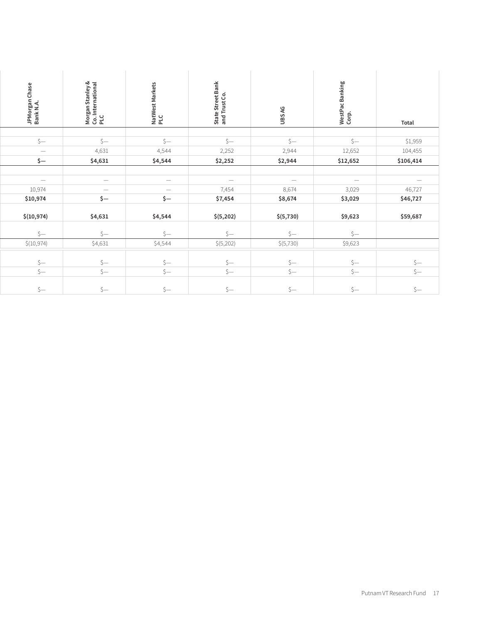| Chase<br>JPMorgan<br>Bank N.A. | Morgan Stanley &<br>Co. International<br>PLC | S,<br>NatWe<br>PLC       | <b>State Street Bank</b><br>and Trust Co. | ୁ<br>S<br>Ŝ                     | ğυ<br>WestP<br>Corp. | Total                    |
|--------------------------------|----------------------------------------------|--------------------------|-------------------------------------------|---------------------------------|----------------------|--------------------------|
|                                |                                              |                          |                                           |                                 |                      |                          |
| $\zeta-$                       | $S-$                                         | $S-$                     | $S-$                                      | $S-$                            | $S-$                 | \$1,959                  |
| $\hspace{0.1mm}$               | 4,631                                        | 4,544                    | 2,252                                     | 2,944                           | 12,652               | 104,455                  |
| $\zeta-$                       | \$4,631                                      | \$4,544                  | \$2,252                                   | \$2,944                         | \$12,652             | \$106,414                |
|                                |                                              |                          |                                           |                                 |                      |                          |
| $\overline{\phantom{a}}$       | $\sim$                                       | $\overline{\phantom{a}}$ | $\sim$                                    | $\hspace{0.1mm}-\hspace{0.1mm}$ | $\hspace{0.1mm}$     | $\overline{\phantom{a}}$ |
| 10,974                         | $\sim$                                       | $\overline{\phantom{a}}$ | 7,454                                     | 8,674                           | 3,029                | 46,727                   |
| \$10,974                       | $s-$                                         | $\zeta-$                 | \$7,454                                   | \$8,674                         | \$3,029              | \$46,727                 |
| \$(10, 974)                    | \$4,631                                      | \$4,544                  | \$(5,202)                                 | \$(5,730)                       | \$9,623              | \$59,687                 |
| $\zeta-$                       | $S-$                                         | $\zeta-$                 | $S-$                                      | $S-$                            | $S-$                 |                          |
| \$(10,974)                     | \$4,631                                      | \$4,544                  | $\zeta(5,202)$                            | \$(5,730)                       | \$9,623              |                          |
| $S-$                           | $S-$                                         | $\zeta-$                 | $S-$                                      | $s-$                            | $S-$                 | $\zeta$ —                |
| $S-$                           | $S-$                                         | $S-$                     | $S-$                                      | $S-$                            | $S-$                 | $s-$                     |
| $\zeta-$                       | $S-$                                         | $s-$                     | $S-$                                      | $s-$                            | $\zeta-$             | $\zeta-$                 |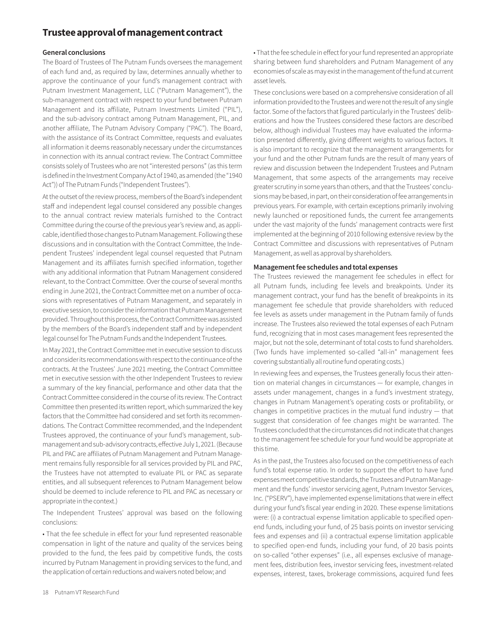# **Trustee approval of management contract**

#### **General conclusions**

The Board of Trustees of The Putnam Funds oversees the management of each fund and, as required by law, determines annually whether to approve the continuance of your fund's management contract with Putnam Investment Management, LLC ("Putnam Management"), the sub-management contract with respect to your fund between Putnam Management and its affiliate, Putnam Investments Limited ("PIL"), and the sub-advisory contract among Putnam Management, PIL, and another affiliate, The Putnam Advisory Company ("PAC"). The Board, with the assistance of its Contract Committee, requests and evaluates all information it deems reasonably necessary under the circumstances in connection with its annual contract review. The Contract Committee consists solely of Trustees who are not "interested persons" (as this term is defined in the Investment Company Act of 1940, as amended (the "1940 Act")) of The Putnam Funds ("Independent Trustees").

At the outset of the review process, members of the Board's independent staff and independent legal counsel considered any possible changes to the annual contract review materials furnished to the Contract Committee during the course of the previous year's review and, as applicable, identified those changes to Putnam Management. Following these discussions and in consultation with the Contract Committee, the Independent Trustees' independent legal counsel requested that Putnam Management and its affiliates furnish specified information, together with any additional information that Putnam Management considered relevant, to the Contract Committee. Over the course of several months ending in June 2021, the Contract Committee met on a number of occasions with representatives of Putnam Management, and separately in executive session, to consider the information that Putnam Management provided. Throughout this process, the Contract Committee was assisted by the members of the Board's independent staff and by independent legal counsel for The Putnam Funds and the Independent Trustees.

In May 2021, the Contract Committee met in executive session to discuss and consider its recommendations with respect to the continuance of the contracts. At the Trustees' June 2021 meeting, the Contract Committee met in executive session with the other Independent Trustees to review a summary of the key financial, performance and other data that the Contract Committee considered in the course of its review. The Contract Committee then presented its written report, which summarized the key factors that the Committee had considered and set forth its recommendations. The Contract Committee recommended, and the Independent Trustees approved, the continuance of your fund's management, submanagement and sub-advisory contracts, effective July 1, 2021. (Because PIL and PAC are affiliates of Putnam Management and Putnam Management remains fully responsible for all services provided by PIL and PAC, the Trustees have not attempted to evaluate PIL or PAC as separate entities, and all subsequent references to Putnam Management below should be deemed to include reference to PIL and PAC as necessary or appropriate in the context.)

The Independent Trustees' approval was based on the following conclusions:

• That the fee schedule in effect for your fund represented reasonable compensation in light of the nature and quality of the services being provided to the fund, the fees paid by competitive funds, the costs incurred by Putnam Management in providing services to the fund, and the application of certain reductions and waivers noted below; and

• That the fee schedule in effect for your fund represented an appropriate sharing between fund shareholders and Putnam Management of any economies of scale as may exist in the management of the fund at current asset levels.

These conclusions were based on a comprehensive consideration of all information provided to the Trustees and were not the result of any single factor. Some of the factors that figured particularly in the Trustees' deliberations and how the Trustees considered these factors are described below, although individual Trustees may have evaluated the information presented differently, giving different weights to various factors. It is also important to recognize that the management arrangements for your fund and the other Putnam funds are the result of many years of review and discussion between the Independent Trustees and Putnam Management, that some aspects of the arrangements may receive greater scrutiny in some years than others, and that the Trustees' conclusions may be based, in part, on their consideration of fee arrangements in previous years. For example, with certain exceptions primarily involving newly launched or repositioned funds, the current fee arrangements under the vast majority of the funds' management contracts were first implemented at the beginning of 2010 following extensive review by the Contract Committee and discussions with representatives of Putnam Management, as well as approval by shareholders.

#### **Management fee schedules and total expenses**

The Trustees reviewed the management fee schedules in effect for all Putnam funds, including fee levels and breakpoints. Under its management contract, your fund has the benefit of breakpoints in its management fee schedule that provide shareholders with reduced fee levels as assets under management in the Putnam family of funds increase. The Trustees also reviewed the total expenses of each Putnam fund, recognizing that in most cases management fees represented the major, but not the sole, determinant of total costs to fund shareholders. (Two funds have implemented so-called "all-in" management fees covering substantially all routine fund operating costs.)

In reviewing fees and expenses, the Trustees generally focus their attention on material changes in circumstances — for example, changes in assets under management, changes in a fund's investment strategy, changes in Putnam Management's operating costs or profitability, or changes in competitive practices in the mutual fund industry — that suggest that consideration of fee changes might be warranted. The Trustees concluded that the circumstances did not indicate that changes to the management fee schedule for your fund would be appropriate at this time.

As in the past, the Trustees also focused on the competitiveness of each fund's total expense ratio. In order to support the effort to have fund expenses meet competitive standards, the Trustees and Putnam Management and the funds' investor servicing agent, Putnam Investor Services, Inc. ("PSERV"), have implemented expense limitations that were in effect during your fund's fiscal year ending in 2020. These expense limitations were: (i) a contractual expense limitation applicable to specified openend funds, including your fund, of 25 basis points on investor servicing fees and expenses and (ii) a contractual expense limitation applicable to specified open-end funds, including your fund, of 20 basis points on so-called "other expenses" (i.e., all expenses exclusive of management fees, distribution fees, investor servicing fees, investment-related expenses, interest, taxes, brokerage commissions, acquired fund fees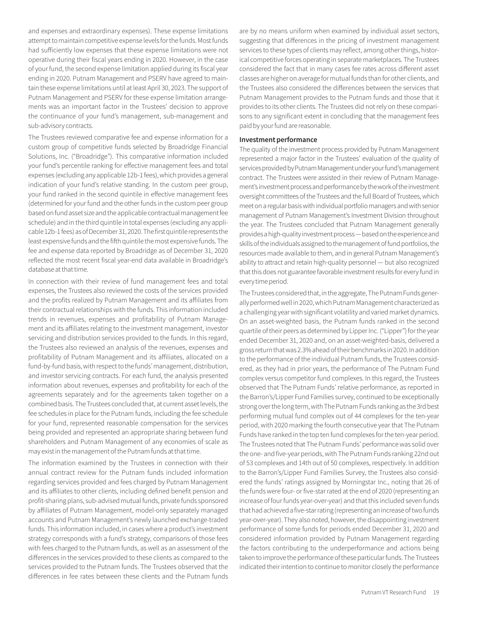and expenses and extraordinary expenses). These expense limitations attempt to maintain competitive expense levels for the funds. Most funds had sufficiently low expenses that these expense limitations were not operative during their fiscal years ending in 2020. However, in the case of your fund, the second expense limitation applied during its fiscal year ending in 2020. Putnam Management and PSERV have agreed to maintain these expense limitations until at least April 30, 2023. The support of Putnam Management and PSERV for these expense limitation arrangements was an important factor in the Trustees' decision to approve the continuance of your fund's management, sub-management and sub-advisory contracts.

The Trustees reviewed comparative fee and expense information for a custom group of competitive funds selected by Broadridge Financial Solutions, Inc. ("Broadridge"). This comparative information included your fund's percentile ranking for effective management fees and total expenses (excluding any applicable 12b-1 fees), which provides a general indication of your fund's relative standing. In the custom peer group, your fund ranked in the second quintile in effective management fees (determined for your fund and the other funds in the custom peer group based on fund asset size and the applicable contractual management fee schedule) and in the third quintile in total expenses (excluding any applicable 12b-1 fees) as of December 31, 2020. The first quintile represents the least expensive funds and the fifth quintile the most expensive funds. The fee and expense data reported by Broadridge as of December 31, 2020 reflected the most recent fiscal year-end data available in Broadridge's database at that time.

In connection with their review of fund management fees and total expenses, the Trustees also reviewed the costs of the services provided and the profits realized by Putnam Management and its affiliates from their contractual relationships with the funds. This information included trends in revenues, expenses and profitability of Putnam Management and its affiliates relating to the investment management, investor servicing and distribution services provided to the funds. In this regard, the Trustees also reviewed an analysis of the revenues, expenses and profitability of Putnam Management and its affiliates, allocated on a fund-by-fund basis, with respect to the funds' management, distribution, and investor servicing contracts. For each fund, the analysis presented information about revenues, expenses and profitability for each of the agreements separately and for the agreements taken together on a combined basis. The Trustees concluded that, at current asset levels, the fee schedules in place for the Putnam funds, including the fee schedule for your fund, represented reasonable compensation for the services being provided and represented an appropriate sharing between fund shareholders and Putnam Management of any economies of scale as may exist in the management of the Putnam funds at that time.

The information examined by the Trustees in connection with their annual contract review for the Putnam funds included information regarding services provided and fees charged by Putnam Management and its affiliates to other clients, including defined benefit pension and profit-sharing plans, sub-advised mutual funds, private funds sponsored by affiliates of Putnam Management, model-only separately managed accounts and Putnam Management's newly launched exchange-traded funds. This information included, in cases where a product's investment strategy corresponds with a fund's strategy, comparisons of those fees with fees charged to the Putnam funds, as well as an assessment of the differences in the services provided to these clients as compared to the services provided to the Putnam funds. The Trustees observed that the differences in fee rates between these clients and the Putnam funds are by no means uniform when examined by individual asset sectors, suggesting that differences in the pricing of investment management services to these types of clients may reflect, among other things, historical competitive forces operating in separate marketplaces. The Trustees considered the fact that in many cases fee rates across different asset classes are higher on average for mutual funds than for other clients, and the Trustees also considered the differences between the services that Putnam Management provides to the Putnam funds and those that it provides to its other clients. The Trustees did not rely on these comparisons to any significant extent in concluding that the management fees paid by your fund are reasonable.

#### **Investment performance**

The quality of the investment process provided by Putnam Management represented a major factor in the Trustees' evaluation of the quality of services provided by Putnam Management under your fund's management contract. The Trustees were assisted in their review of Putnam Management's investment process and performance by the work of the investment oversight committees of the Trustees and the full Board of Trustees, which meet on a regular basis with individual portfolio managers and with senior management of Putnam Management's Investment Division throughout the year. The Trustees concluded that Putnam Management generally provides a high-quality investment process — based on the experience and skills of the individuals assigned to the management of fund portfolios, the resources made available to them, and in general Putnam Management's ability to attract and retain high-quality personnel — but also recognized that this does not guarantee favorable investment results for every fund in every time period.

The Trustees considered that, in the aggregate, The Putnam Funds generally performed well in 2020, which Putnam Management characterized as a challenging year with significant volatility and varied market dynamics. On an asset-weighted basis, the Putnam funds ranked in the second quartile of their peers as determined by Lipper Inc. ("Lipper") for the year ended December 31, 2020 and, on an asset-weighted-basis, delivered a gross return that was 2.3% ahead of their benchmarks in 2020. In addition to the performance of the individual Putnam funds, the Trustees considered, as they had in prior years, the performance of The Putnam Fund complex versus competitor fund complexes. In this regard, the Trustees observed that The Putnam Funds' relative performance, as reported in the Barron's/Lipper Fund Families survey, continued to be exceptionally strong over the long term, with The Putnam Funds ranking as the 3rd best performing mutual fund complex out of 44 complexes for the ten-year period, with 2020 marking the fourth consecutive year that The Putnam Funds have ranked in the top ten fund complexes for the ten-year period. The Trustees noted that The Putnam Funds' performance was solid over the one- and five-year periods, with The Putnam Funds ranking 22nd out of 53 complexes and 14th out of 50 complexes, respectively. In addition to the Barron's/Lipper Fund Families Survey, the Trustees also considered the funds' ratings assigned by Morningstar Inc., noting that 26 of the funds were four- or five-star rated at the end of 2020 (representing an increase of four funds year-over-year) and that this included seven funds that had achieved a five-star rating (representing an increase of two funds year-over-year). They also noted, however, the disappointing investment performance of some funds for periods ended December 31, 2020 and considered information provided by Putnam Management regarding the factors contributing to the underperformance and actions being taken to improve the performance of these particular funds. The Trustees indicated their intention to continue to monitor closely the performance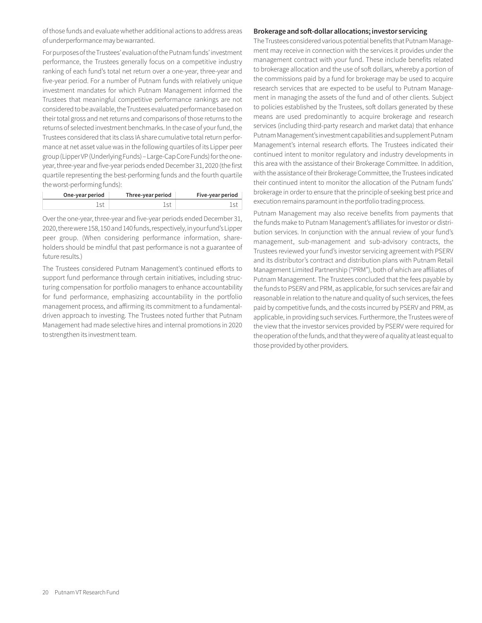of those funds and evaluate whether additional actions to address areas of underperformance may be warranted.

For purposes of the Trustees' evaluation of the Putnam funds' investment performance, the Trustees generally focus on a competitive industry ranking of each fund's total net return over a one-year, three-year and five-year period. For a number of Putnam funds with relatively unique investment mandates for which Putnam Management informed the Trustees that meaningful competitive performance rankings are not considered to be available, the Trustees evaluated performance based on their total gross and net returns and comparisons of those returns to the returns of selected investment benchmarks. In the case of your fund, the Trustees considered that its class IA share cumulative total return performance at net asset value was in the following quartiles of its Lipper peer group (Lipper VP (Underlying Funds) – Large-Cap Core Funds) for the oneyear, three-year and five-year periods ended December 31, 2020 (the first quartile representing the best-performing funds and the fourth quartile the worst-performing funds):

| One-year period | Three-year period | Five-year period |
|-----------------|-------------------|------------------|
|                 |                   |                  |

Over the one-year, three-year and five-year periods ended December 31, 2020, there were 158, 150 and 140 funds, respectively, in your fund's Lipper peer group. (When considering performance information, shareholders should be mindful that past performance is not a guarantee of future results.)

The Trustees considered Putnam Management's continued efforts to support fund performance through certain initiatives, including structuring compensation for portfolio managers to enhance accountability for fund performance, emphasizing accountability in the portfolio management process, and affirming its commitment to a fundamentaldriven approach to investing. The Trustees noted further that Putnam Management had made selective hires and internal promotions in 2020 to strengthen its investment team.

#### **Brokerage and soft-dollar allocations; investor servicing**

The Trustees considered various potential benefits that Putnam Management may receive in connection with the services it provides under the management contract with your fund. These include benefits related to brokerage allocation and the use of soft dollars, whereby a portion of the commissions paid by a fund for brokerage may be used to acquire research services that are expected to be useful to Putnam Management in managing the assets of the fund and of other clients. Subject to policies established by the Trustees, soft dollars generated by these means are used predominantly to acquire brokerage and research services (including third-party research and market data) that enhance Putnam Management's investment capabilities and supplement Putnam Management's internal research efforts. The Trustees indicated their continued intent to monitor regulatory and industry developments in this area with the assistance of their Brokerage Committee. In addition, with the assistance of their Brokerage Committee, the Trustees indicated their continued intent to monitor the allocation of the Putnam funds' brokerage in order to ensure that the principle of seeking best price and execution remains paramount in the portfolio trading process.

Putnam Management may also receive benefits from payments that the funds make to Putnam Management's affiliates for investor or distribution services. In conjunction with the annual review of your fund's management, sub-management and sub-advisory contracts, the Trustees reviewed your fund's investor servicing agreement with PSERV and its distributor's contract and distribution plans with Putnam Retail Management Limited Partnership ("PRM"), both of which are affiliates of Putnam Management. The Trustees concluded that the fees payable by the funds to PSERV and PRM, as applicable, for such services are fair and reasonable in relation to the nature and quality of such services, the fees paid by competitive funds, and the costs incurred by PSERV and PRM, as applicable, in providing such services. Furthermore, the Trustees were of the view that the investor services provided by PSERV were required for the operation of the funds, and that they were of a quality at least equal to those provided by other providers.